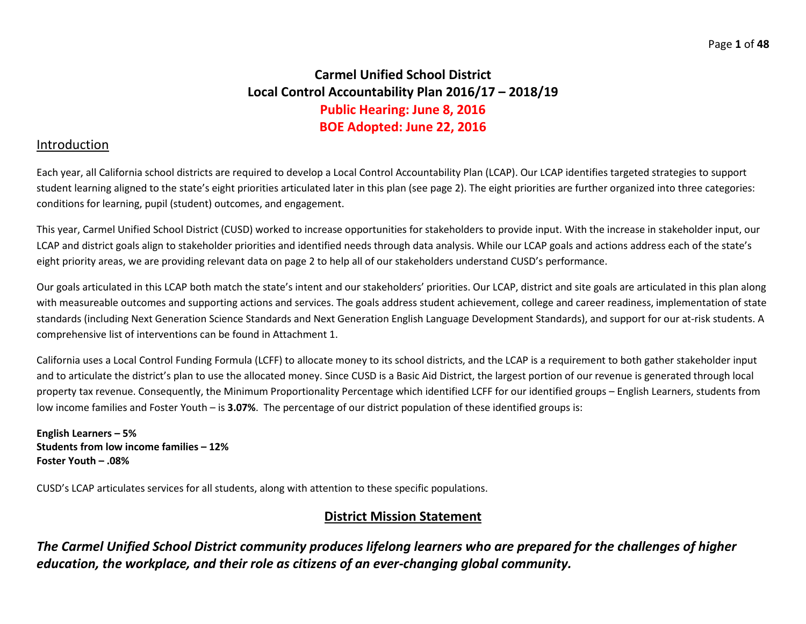# **Carmel Unified School District Local Control Accountability Plan 2016/17 – 2018/19 Public Hearing: June 8, 2016 BOE Adopted: June 22, 2016**

# Introduction

Each year, all California school districts are required to develop a Local Control Accountability Plan (LCAP). Our LCAP identifies targeted strategies to support student learning aligned to the state's eight priorities articulated later in this plan (see page 2). The eight priorities are further organized into three categories: conditions for learning, pupil (student) outcomes, and engagement.

This year, Carmel Unified School District (CUSD) worked to increase opportunities for stakeholders to provide input. With the increase in stakeholder input, our LCAP and district goals align to stakeholder priorities and identified needs through data analysis. While our LCAP goals and actions address each of the state's eight priority areas, we are providing relevant data on page 2 to help all of our stakeholders understand CUSD's performance.

Our goals articulated in this LCAP both match the state's intent and our stakeholders' priorities. Our LCAP, district and site goals are articulated in this plan along with measureable outcomes and supporting actions and services. The goals address student achievement, college and career readiness, implementation of state standards (including Next Generation Science Standards and Next Generation English Language Development Standards), and support for our at-risk students. A comprehensive list of interventions can be found in Attachment 1.

California uses a Local Control Funding Formula (LCFF) to allocate money to its school districts, and the LCAP is a requirement to both gather stakeholder input and to articulate the district's plan to use the allocated money. Since CUSD is a Basic Aid District, the largest portion of our revenue is generated through local property tax revenue. Consequently, the Minimum Proportionality Percentage which identified LCFF for our identified groups – English Learners, students from low income families and Foster Youth – is **3.07%**. The percentage of our district population of these identified groups is:

**English Learners – 5% Students from low income families – 12% Foster Youth – .08%**

CUSD's LCAP articulates services for all students, along with attention to these specific populations.

# **District Mission Statement**

*The Carmel Unified School District community produces lifelong learners who are prepared for the challenges of higher education, the workplace, and their role as citizens of an ever-changing global community.*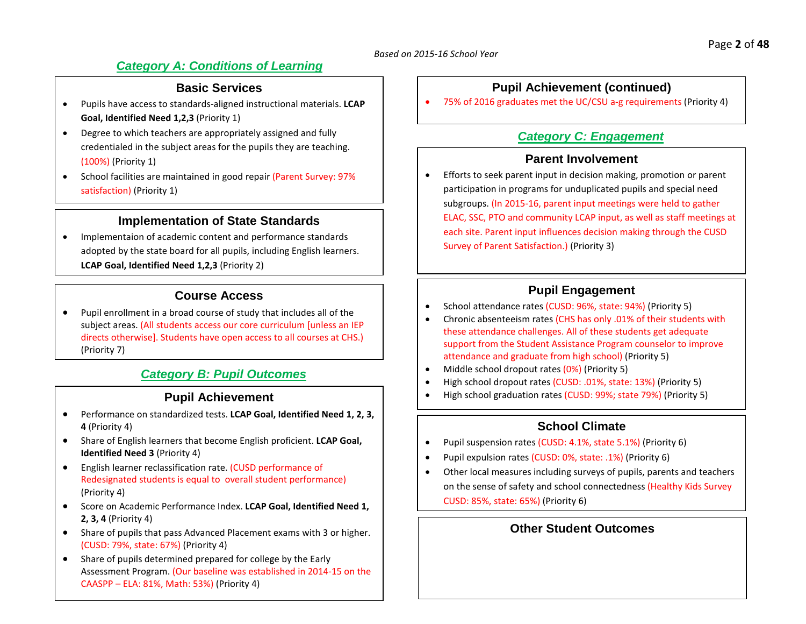# *Category A: Conditions of Learning*

# **Basic Services**

- Pupils have access to standards-aligned instructional materials. **LCAP Goal, Identified Need 1,2,3** (Priority 1)
- Degree to which teachers are appropriately assigned and fully credentialed in the subject areas for the pupils they are teaching. (100%) (Priority 1)
- School facilities are maintained in good repair (Parent Survey: 97% satisfaction) (Priority 1)

# **Implementation of State Standards**

• Implementaion of academic content and performance standards adopted by the state board for all pupils, including English learners. **LCAP Goal, Identified Need 1,2,3** (Priority 2)

# **Course Access**

• Pupil enrollment in a broad course of study that includes all of the subject areas. (All students access our core curriculum [unless an IEP directs otherwise]. Students have open access to all courses at CHS.) (Priority 7)

# *Category B: Pupil Outcomes*

# **Pupil Achievement**

- Performance on standardized tests. **LCAP Goal, Identified Need 1, 2, 3, 4** (Priority 4)
- Share of English learners that become English proficient. **LCAP Goal, Identified Need 3** (Priority 4)
- English learner reclassification rate. (CUSD performance of Redesignated students is equal to overall student performance) (Priority 4)
- Score on Academic Performance Index. **LCAP Goal, Identified Need 1, 2, 3, 4** (Priority 4)
- Share of pupils that pass Advanced Placement exams with 3 or higher. (CUSD: 79%, state: 67%) (Priority 4)
- Share of pupils determined prepared for college by the Early Assessment Program. (Our baseline was established in 2014-15 on the CAASPP – ELA: 81%, Math: 53%) (Priority 4)

# **Pupil Achievement (continued)**

• 75% of 2016 graduates met the UC/CSU a-g requirements (Priority 4)

# *Category C: Engagement*

## **Parent Involvement**

• Efforts to seek parent input in decision making, promotion or parent participation in programs for unduplicated pupils and special need subgroups. (In 2015-16, parent input meetings were held to gather ELAC, SSC, PTO and community LCAP input, as well as staff meetings at each site. Parent input influences decision making through the CUSD Survey of Parent Satisfaction.) (Priority 3)

# **Pupil Engagement**

- School attendance rates (CUSD: 96%, state: 94%) (Priority 5)
- Chronic absenteeism rates (CHS has only .01% of their students with these attendance challenges. All of these students get adequate support from the Student Assistance Program counselor to improve attendance and graduate from high school) (Priority 5)
- Middle school dropout rates (0%) (Priority 5)
- High school dropout rates (CUSD: .01%, state: 13%) (Priority 5)
- High school graduation rates (CUSD: 99%; state 79%) (Priority 5)

# **School Climate**

- Pupil suspension rates (CUSD: 4.1%, state 5.1%) (Priority 6)
- Pupil expulsion rates (CUSD: 0%, state: .1%) (Priority 6)
- Other local measures including surveys of pupils, parents and teachers on the sense of safety and school connectedness (Healthy Kids Survey CUSD: 85%, state: 65%) (Priority 6)

# **Other Student Outcomes**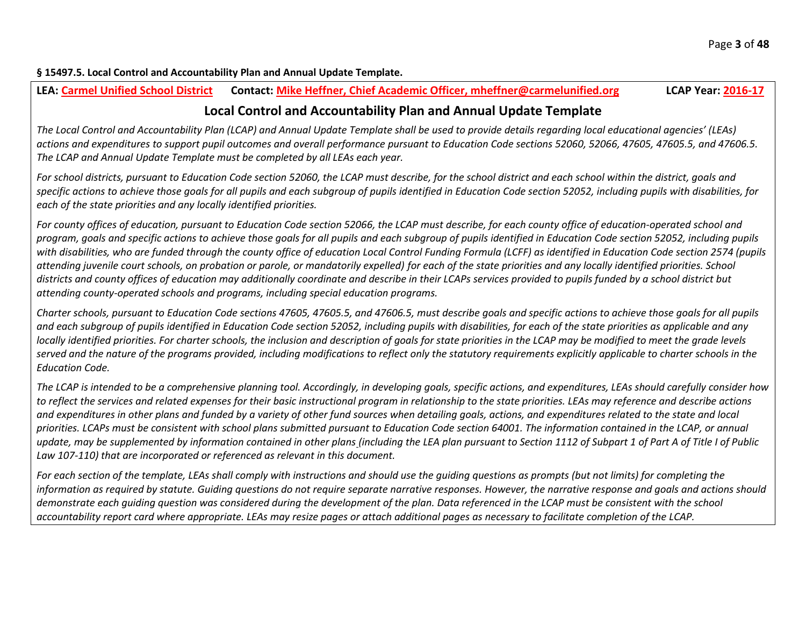#### **§ 15497.5. Local Control and Accountability Plan and Annual Update Template.**

# **LEA: Carmel Unified School District Contact: Mike Heffner, Chief Academic Officer, mheffner@carmelunified.org LCAP Year: 2016-17**

# **Local Control and Accountability Plan and Annual Update Template**

*The Local Control and Accountability Plan (LCAP) and Annual Update Template shall be used to provide details regarding local educational agencies' (LEAs) actions and expenditures to support pupil outcomes and overall performance pursuant to Education Code sections 52060, 52066, 47605, 47605.5, and 47606.5. The LCAP and Annual Update Template must be completed by all LEAs each year.*

*For school districts, pursuant to Education Code section 52060, the LCAP must describe, for the school district and each school within the district, goals and specific actions to achieve those goals for all pupils and each subgroup of pupils identified in Education Code section 52052, including pupils with disabilities, for each of the state priorities and any locally identified priorities.*

*For county offices of education, pursuant to Education Code section 52066, the LCAP must describe, for each county office of education-operated school and program, goals and specific actions to achieve those goals for all pupils and each subgroup of pupils identified in Education Code section 52052, including pupils with disabilities, who are funded through the county office of education Local Control Funding Formula (LCFF) as identified in Education Code section 2574 (pupils attending juvenile court schools, on probation or parole, or mandatorily expelled) for each of the state priorities and any locally identified priorities. School districts and county offices of education may additionally coordinate and describe in their LCAPs services provided to pupils funded by a school district but attending county-operated schools and programs, including special education programs.*

*Charter schools, pursuant to Education Code sections 47605, 47605.5, and 47606.5, must describe goals and specific actions to achieve those goals for all pupils and each subgroup of pupils identified in Education Code section 52052, including pupils with disabilities, for each of the state priorities as applicable and any locally identified priorities. For charter schools, the inclusion and description of goals for state priorities in the LCAP may be modified to meet the grade levels served and the nature of the programs provided, including modifications to reflect only the statutory requirements explicitly applicable to charter schools in the Education Code.*

*The LCAP is intended to be a comprehensive planning tool. Accordingly, in developing goals, specific actions, and expenditures, LEAs should carefully consider how to reflect the services and related expenses for their basic instructional program in relationship to the state priorities. LEAs may reference and describe actions and expenditures in other plans and funded by a variety of other fund sources when detailing goals, actions, and expenditures related to the state and local priorities. LCAPs must be consistent with school plans submitted pursuant to Education Code section 64001. The information contained in the LCAP, or annual update, may be supplemented by information contained in other plans (including the LEA plan pursuant to Section 1112 of Subpart 1 of Part A of Title I of Public Law 107-110) that are incorporated or referenced as relevant in this document.*

*For each section of the template, LEAs shall comply with instructions and should use the guiding questions as prompts (but not limits) for completing the information as required by statute. Guiding questions do not require separate narrative responses. However, the narrative response and goals and actions should demonstrate each guiding question was considered during the development of the plan. Data referenced in the LCAP must be consistent with the school accountability report card where appropriate. LEAs may resize pages or attach additional pages as necessary to facilitate completion of the LCAP.*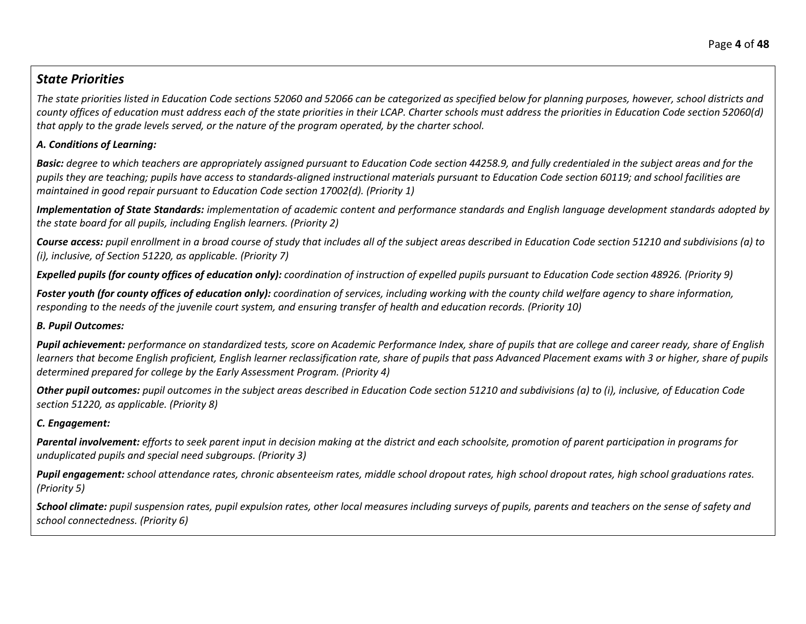# *State Priorities*

*The state priorities listed in Education Code sections 52060 and 52066 can be categorized as specified below for planning purposes, however, school districts and county offices of education must address each of the state priorities in their LCAP. Charter schools must address the priorities in Education Code section 52060(d) that apply to the grade levels served, or the nature of the program operated, by the charter school.*

## *A. Conditions of Learning:*

*Basic: degree to which teachers are appropriately assigned pursuant to Education Code section 44258.9, and fully credentialed in the subject areas and for the pupils they are teaching; pupils have access to standards-aligned instructional materials pursuant to Education Code section 60119; and school facilities are maintained in good repair pursuant to Education Code section 17002(d). (Priority 1)*

*Implementation of State Standards: implementation of academic content and performance standards and English language development standards adopted by the state board for all pupils, including English learners. (Priority 2)*

*Course access: pupil enrollment in a broad course of study that includes all of the subject areas described in Education Code section 51210 and subdivisions (a) to (i), inclusive, of Section 51220, as applicable. (Priority 7)*

*Expelled pupils (for county offices of education only): coordination of instruction of expelled pupils pursuant to Education Code section 48926. (Priority 9)*

*Foster youth (for county offices of education only): coordination of services, including working with the county child welfare agency to share information, responding to the needs of the juvenile court system, and ensuring transfer of health and education records. (Priority 10)*

## *B. Pupil Outcomes:*

*Pupil achievement: performance on standardized tests, score on Academic Performance Index, share of pupils that are college and career ready, share of English learners that become English proficient, English learner reclassification rate, share of pupils that pass Advanced Placement exams with 3 or higher, share of pupils determined prepared for college by the Early Assessment Program. (Priority 4)*

*Other pupil outcomes: pupil outcomes in the subject areas described in Education Code section 51210 and subdivisions (a) to (i), inclusive, of Education Code section 51220, as applicable. (Priority 8)*

# *C. Engagement:*

*Parental involvement: efforts to seek parent input in decision making at the district and each schoolsite, promotion of parent participation in programs for unduplicated pupils and special need subgroups. (Priority 3)*

*Pupil engagement: school attendance rates, chronic absenteeism rates, middle school dropout rates, high school dropout rates, high school graduations rates. (Priority 5)*

*School climate: pupil suspension rates, pupil expulsion rates, other local measures including surveys of pupils, parents and teachers on the sense of safety and school connectedness. (Priority 6)*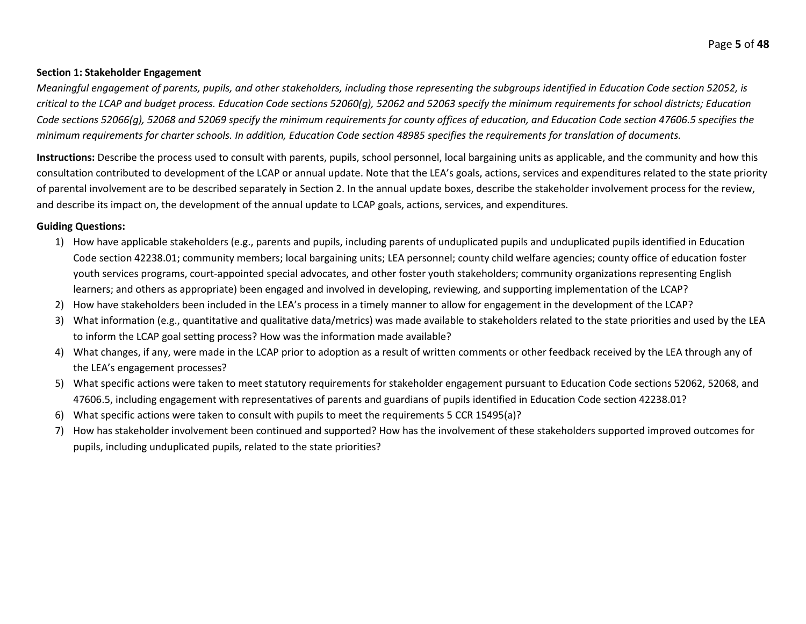#### **Section 1: Stakeholder Engagement**

*Meaningful engagement of parents, pupils, and other stakeholders, including those representing the subgroups identified in Education Code section 52052, is critical to the LCAP and budget process. Education Code sections 52060(g), 52062 and 52063 specify the minimum requirements for school districts; Education Code sections 52066(g), 52068 and 52069 specify the minimum requirements for county offices of education, and Education Code section 47606.5 specifies the minimum requirements for charter schools. In addition, Education Code section 48985 specifies the requirements for translation of documents.*

**Instructions:** Describe the process used to consult with parents, pupils, school personnel, local bargaining units as applicable, and the community and how this consultation contributed to development of the LCAP or annual update. Note that the LEA's goals, actions, services and expenditures related to the state priority of parental involvement are to be described separately in Section 2. In the annual update boxes, describe the stakeholder involvement process for the review, and describe its impact on, the development of the annual update to LCAP goals, actions, services, and expenditures.

### **Guiding Questions:**

- 1) How have applicable stakeholders (e.g., parents and pupils, including parents of unduplicated pupils and unduplicated pupils identified in Education Code section 42238.01; community members; local bargaining units; LEA personnel; county child welfare agencies; county office of education foster youth services programs, court-appointed special advocates, and other foster youth stakeholders; community organizations representing English learners; and others as appropriate) been engaged and involved in developing, reviewing, and supporting implementation of the LCAP?
- 2) How have stakeholders been included in the LEA's process in a timely manner to allow for engagement in the development of the LCAP?
- 3) What information (e.g., quantitative and qualitative data/metrics) was made available to stakeholders related to the state priorities and used by the LEA to inform the LCAP goal setting process? How was the information made available?
- 4) What changes, if any, were made in the LCAP prior to adoption as a result of written comments or other feedback received by the LEA through any of the LEA's engagement processes?
- 5) What specific actions were taken to meet statutory requirements for stakeholder engagement pursuant to Education Code sections 52062, 52068, and 47606.5, including engagement with representatives of parents and guardians of pupils identified in Education Code section 42238.01?
- 6) What specific actions were taken to consult with pupils to meet the requirements 5 CCR 15495(a)?
- 7) How has stakeholder involvement been continued and supported? How has the involvement of these stakeholders supported improved outcomes for pupils, including unduplicated pupils, related to the state priorities?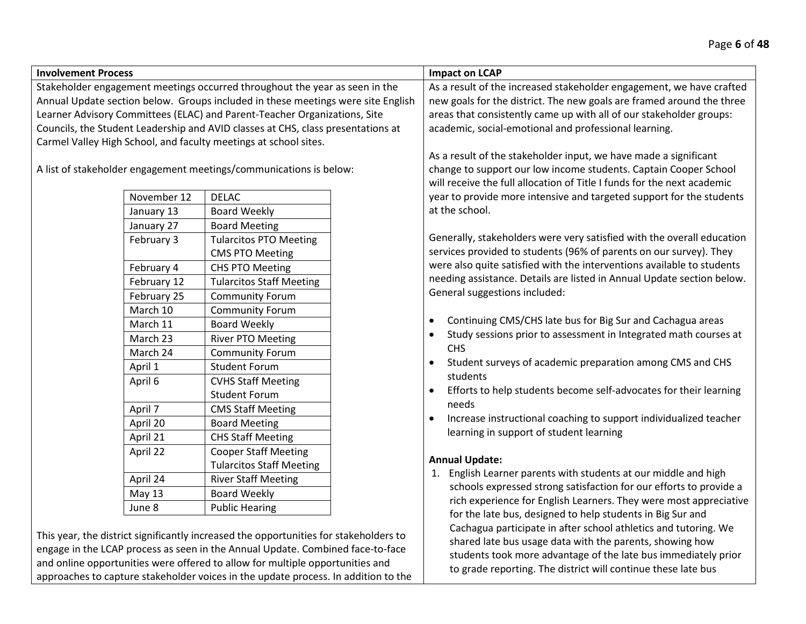| <b>Involvement Process</b> |                                 |                                                                                                                                                                                                                                   |                                                                   | <b>Impact on LCAP</b>                                                                                                                        |  |  |
|----------------------------|---------------------------------|-----------------------------------------------------------------------------------------------------------------------------------------------------------------------------------------------------------------------------------|-------------------------------------------------------------------|----------------------------------------------------------------------------------------------------------------------------------------------|--|--|
|                            |                                 | Stakeholder engagement meetings occurred throughout the year as seen in the                                                                                                                                                       |                                                                   | As a result of the increased stakeholder engagement, we have crafted                                                                         |  |  |
|                            |                                 | Annual Update section below. Groups included in these meetings were site English                                                                                                                                                  |                                                                   | new goals for the district. The new goals are framed around the three                                                                        |  |  |
|                            |                                 | Learner Advisory Committees (ELAC) and Parent-Teacher Organizations, Site                                                                                                                                                         |                                                                   | areas that consistently came up with all of our stakeholder groups:                                                                          |  |  |
|                            |                                 | Councils, the Student Leadership and AVID classes at CHS, class presentations at                                                                                                                                                  |                                                                   | academic, social-emotional and professional learning.                                                                                        |  |  |
|                            |                                 | Carmel Valley High School, and faculty meetings at school sites.                                                                                                                                                                  |                                                                   |                                                                                                                                              |  |  |
|                            |                                 |                                                                                                                                                                                                                                   |                                                                   | As a result of the stakeholder input, we have made a significant                                                                             |  |  |
|                            |                                 | A list of stakeholder engagement meetings/communications is below:                                                                                                                                                                |                                                                   | change to support our low income students. Captain Cooper School                                                                             |  |  |
|                            |                                 |                                                                                                                                                                                                                                   |                                                                   | will receive the full allocation of Title I funds for the next academic                                                                      |  |  |
|                            | November 12                     | <b>DELAC</b>                                                                                                                                                                                                                      |                                                                   | year to provide more intensive and targeted support for the students                                                                         |  |  |
|                            | January 13                      | <b>Board Weekly</b>                                                                                                                                                                                                               |                                                                   | at the school.                                                                                                                               |  |  |
|                            | January 27                      | <b>Board Meeting</b>                                                                                                                                                                                                              |                                                                   |                                                                                                                                              |  |  |
|                            | February 3                      | <b>Tularcitos PTO Meeting</b>                                                                                                                                                                                                     |                                                                   | Generally, stakeholders were very satisfied with the overall education                                                                       |  |  |
|                            |                                 | <b>CMS PTO Meeting</b>                                                                                                                                                                                                            |                                                                   | services provided to students (96% of parents on our survey). They<br>were also quite satisfied with the interventions available to students |  |  |
|                            | February 4                      | <b>CHS PTO Meeting</b>                                                                                                                                                                                                            |                                                                   | needing assistance. Details are listed in Annual Update section below.                                                                       |  |  |
|                            | February 12                     | <b>Tularcitos Staff Meeting</b>                                                                                                                                                                                                   |                                                                   | General suggestions included:                                                                                                                |  |  |
|                            | February 25                     | <b>Community Forum</b>                                                                                                                                                                                                            |                                                                   |                                                                                                                                              |  |  |
|                            | March 10                        | <b>Community Forum</b>                                                                                                                                                                                                            |                                                                   | Continuing CMS/CHS late bus for Big Sur and Cachagua areas                                                                                   |  |  |
|                            | March 11                        | <b>Board Weekly</b>                                                                                                                                                                                                               |                                                                   | Study sessions prior to assessment in Integrated math courses at                                                                             |  |  |
|                            | March 23                        | River PTO Meeting                                                                                                                                                                                                                 |                                                                   | <b>CHS</b>                                                                                                                                   |  |  |
|                            | March 24                        | <b>Community Forum</b>                                                                                                                                                                                                            |                                                                   | Student surveys of academic preparation among CMS and CHS                                                                                    |  |  |
|                            | April 1                         | <b>Student Forum</b>                                                                                                                                                                                                              |                                                                   | students                                                                                                                                     |  |  |
|                            | April 6                         | <b>CVHS Staff Meeting</b>                                                                                                                                                                                                         |                                                                   | Efforts to help students become self-advocates for their learning                                                                            |  |  |
|                            |                                 | <b>Student Forum</b>                                                                                                                                                                                                              |                                                                   | needs                                                                                                                                        |  |  |
|                            | April 7                         | <b>CMS Staff Meeting</b>                                                                                                                                                                                                          |                                                                   | Increase instructional coaching to support individualized teacher                                                                            |  |  |
|                            | April 20                        | <b>Board Meeting</b>                                                                                                                                                                                                              |                                                                   | learning in support of student learning                                                                                                      |  |  |
|                            | April 21                        | <b>CHS Staff Meeting</b>                                                                                                                                                                                                          |                                                                   |                                                                                                                                              |  |  |
|                            | April 22                        | <b>Cooper Staff Meeting</b><br><b>Tularcitos Staff Meeting</b>                                                                                                                                                                    |                                                                   | <b>Annual Update:</b>                                                                                                                        |  |  |
|                            | April 24                        | <b>River Staff Meeting</b>                                                                                                                                                                                                        |                                                                   | 1. English Learner parents with students at our middle and high                                                                              |  |  |
|                            | <b>May 13</b>                   | <b>Board Weekly</b>                                                                                                                                                                                                               |                                                                   | schools expressed strong satisfaction for our efforts to provide a                                                                           |  |  |
|                            |                                 |                                                                                                                                                                                                                                   | rich experience for English Learners. They were most appreciative |                                                                                                                                              |  |  |
|                            | June 8<br><b>Public Hearing</b> |                                                                                                                                                                                                                                   |                                                                   | for the late bus, designed to help students in Big Sur and                                                                                   |  |  |
|                            |                                 | This year, the district significantly increased the opportunities for stakeholders to                                                                                                                                             |                                                                   | Cachagua participate in after school athletics and tutoring. We                                                                              |  |  |
|                            |                                 | engage in the LCAP process as seen in the Annual Update. Combined face-to-face                                                                                                                                                    |                                                                   | shared late bus usage data with the parents, showing how                                                                                     |  |  |
|                            |                                 | $\mathcal{L}$ and the contract of the contract of the contract of the contract of the contract of the contract of the contract of the contract of the contract of the contract of the contract of the contract of the contract of |                                                                   | students took more advantage of the late bus immediately prior                                                                               |  |  |

to grade reporting. The district will continue these late bus

engage in the LCAP process as seen in the Annual Update. Combined face-to-face and online opportunities were offered to allow for multiple opportunities and approaches to capture stakeholder voices in the update process. In addition to the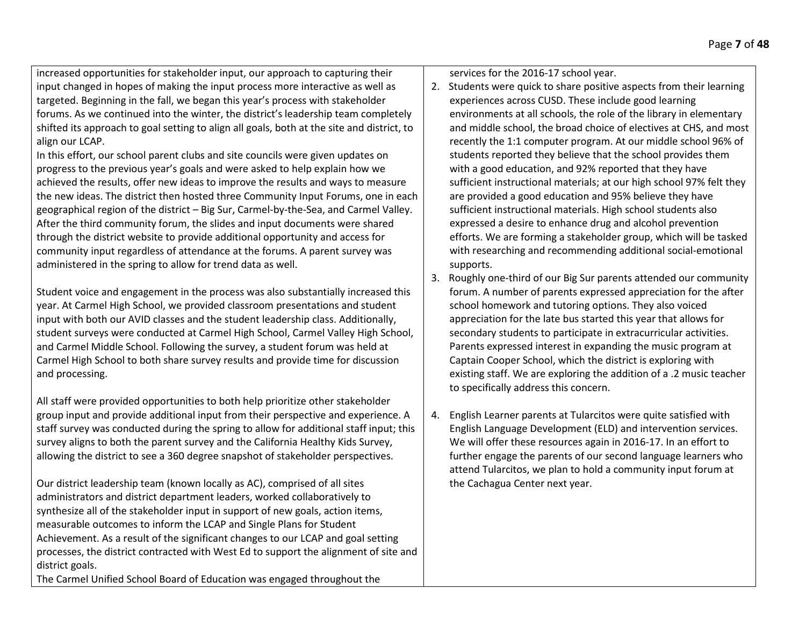increased opportunities for stakeholder input, our approach to capturing their input changed in hopes of making the input process more interactive as well as targeted. Beginning in the fall, we began this year's process with stakeholder forums. As we continued into the winter, the district's leadership team completely shifted its approach to goal setting to align all goals, both at the site and district, to align our LCAP.

In this effort, our school parent clubs and site councils were given updates on progress to the previous year's goals and were asked to help explain how we achieved the results, offer new ideas to improve the results and ways to measure the new ideas. The district then hosted three Community Input Forums, one in each geographical region of the district – Big Sur, Carmel-by-the-Sea, and Carmel Valley. After the third community forum, the slides and input documents were shared through the district website to provide additional opportunity and access for community input regardless of attendance at the forums. A parent survey was administered in the spring to allow for trend data as well.

Student voice and engagement in the process was also substantially increased this year. At Carmel High School, we provided classroom presentations and student input with both our AVID classes and the student leadership class. Additionally, student surveys were conducted at Carmel High School, Carmel Valley High School, and Carmel Middle School. Following the survey, a student forum was held at Carmel High School to both share survey results and provide time for discussion and processing.

All staff were provided opportunities to both help prioritize other stakeholder group input and provide additional input from their perspective and experience. A staff survey was conducted during the spring to allow for additional staff input; this survey aligns to both the parent survey and the California Healthy Kids Survey, allowing the district to see a 360 degree snapshot of stakeholder perspectives.

Our district leadership team (known locally as AC), comprised of all sites administrators and district department leaders, worked collaboratively to synthesize all of the stakeholder input in support of new goals, action items, measurable outcomes to inform the LCAP and Single Plans for Student Achievement. As a result of the significant changes to our LCAP and goal setting processes, the district contracted with West Ed to support the alignment of site and district goals.

The Carmel Unified School Board of Education was engaged throughout the

services for the 2016-17 school year.

- 2. Students were quick to share positive aspects from their learning experiences across CUSD. These include good learning environments at all schools, the role of the library in elementary and middle school, the broad choice of electives at CHS, and most recently the 1:1 computer program. At our middle school 96% of students reported they believe that the school provides them with a good education, and 92% reported that they have sufficient instructional materials; at our high school 97% felt they are provided a good education and 95% believe they have sufficient instructional materials. High school students also expressed a desire to enhance drug and alcohol prevention efforts. We are forming a stakeholder group, which will be tasked with researching and recommending additional social-emotional supports.
- 3. Roughly one-third of our Big Sur parents attended our community forum. A number of parents expressed appreciation for the after school homework and tutoring options. They also voiced appreciation for the late bus started this year that allows for secondary students to participate in extracurricular activities. Parents expressed interest in expanding the music program at Captain Cooper School, which the district is exploring with existing staff. We are exploring the addition of a .2 music teacher to specifically address this concern.
- 4. English Learner parents at Tularcitos were quite satisfied with English Language Development (ELD) and intervention services. We will offer these resources again in 2016-17. In an effort to further engage the parents of our second language learners who attend Tularcitos, we plan to hold a community input forum at the Cachagua Center next year.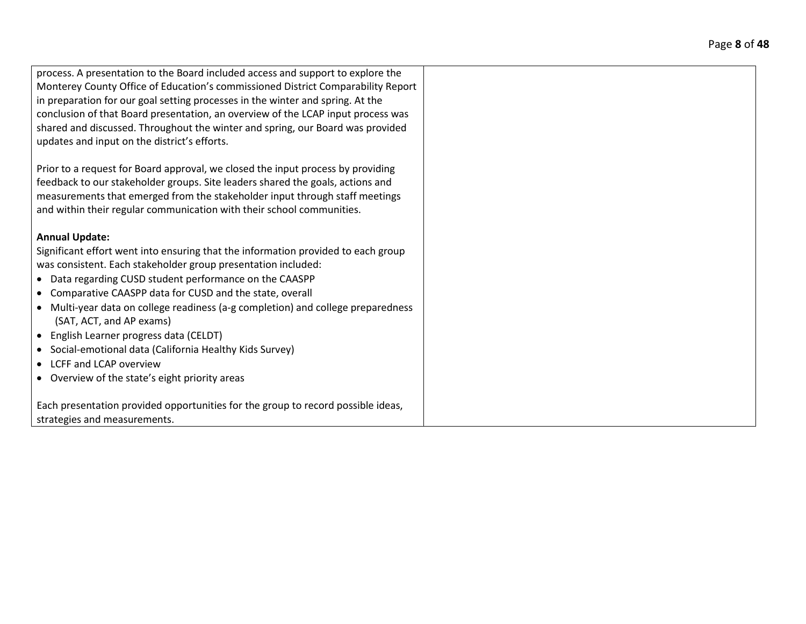process. A presentation to the Board included access and support to explore the Monterey County Office of Education's commissioned District Comparability Report in preparation for our goal setting processes in the winter and spring. At the conclusion of that Board presentation, an overview of the LCAP input process was shared and discussed. Throughout the winter and spring, our Board was provided updates and input on the district's efforts.

Prior to a request for Board approval, we closed the input process by providing feedback to our stakeholder groups. Site leaders shared the goals, actions and measurements that emerged from the stakeholder input through staff meetings and within their regular communication with their school communities.

### **Annual Update:**

Significant effort went into ensuring that the information provided to each group was consistent. Each stakeholder group presentation included:

- Data regarding CUSD student performance on the CAASPP
- Comparative CAASPP data for CUSD and the state, overall
- Multi-year data on college readiness (a-g completion) and college preparedness (SAT, ACT, and AP exams)
- English Learner progress data (CELDT)
- Social-emotional data (California Healthy Kids Survey)
- LCFF and LCAP overview
- Overview of the state's eight priority areas

Each presentation provided opportunities for the group to record possible ideas, strategies and measurements.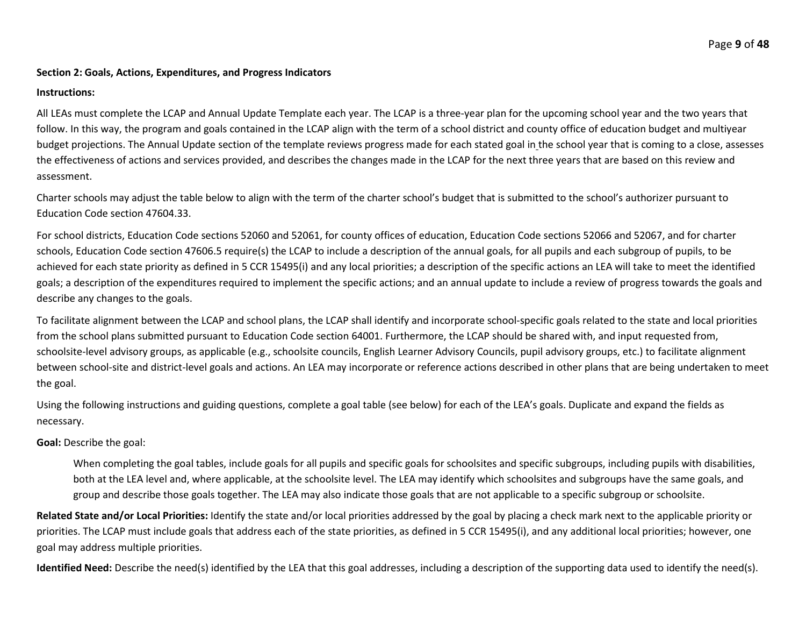#### **Section 2: Goals, Actions, Expenditures, and Progress Indicators**

#### **Instructions:**

All LEAs must complete the LCAP and Annual Update Template each year. The LCAP is a three-year plan for the upcoming school year and the two years that follow. In this way, the program and goals contained in the LCAP align with the term of a school district and county office of education budget and multiyear budget projections. The Annual Update section of the template reviews progress made for each stated goal in the school year that is coming to a close, assesses the effectiveness of actions and services provided, and describes the changes made in the LCAP for the next three years that are based on this review and assessment.

Charter schools may adjust the table below to align with the term of the charter school's budget that is submitted to the school's authorizer pursuant to Education Code section 47604.33.

For school districts, Education Code sections 52060 and 52061, for county offices of education, Education Code sections 52066 and 52067, and for charter schools, Education Code section 47606.5 require(s) the LCAP to include a description of the annual goals, for all pupils and each subgroup of pupils, to be achieved for each state priority as defined in 5 CCR 15495(i) and any local priorities; a description of the specific actions an LEA will take to meet the identified goals; a description of the expenditures required to implement the specific actions; and an annual update to include a review of progress towards the goals and describe any changes to the goals.

To facilitate alignment between the LCAP and school plans, the LCAP shall identify and incorporate school-specific goals related to the state and local priorities from the school plans submitted pursuant to Education Code section 64001. Furthermore, the LCAP should be shared with, and input requested from, schoolsite-level advisory groups, as applicable (e.g., schoolsite councils, English Learner Advisory Councils, pupil advisory groups, etc.) to facilitate alignment between school-site and district-level goals and actions. An LEA may incorporate or reference actions described in other plans that are being undertaken to meet the goal.

Using the following instructions and guiding questions, complete a goal table (see below) for each of the LEA's goals. Duplicate and expand the fields as necessary.

### **Goal:** Describe the goal:

When completing the goal tables, include goals for all pupils and specific goals for schoolsites and specific subgroups, including pupils with disabilities, both at the LEA level and, where applicable, at the schoolsite level. The LEA may identify which schoolsites and subgroups have the same goals, and group and describe those goals together. The LEA may also indicate those goals that are not applicable to a specific subgroup or schoolsite.

**Related State and/or Local Priorities:** Identify the state and/or local priorities addressed by the goal by placing a check mark next to the applicable priority or priorities. The LCAP must include goals that address each of the state priorities, as defined in 5 CCR 15495(i), and any additional local priorities; however, one goal may address multiple priorities.

Identified Need: Describe the need(s) identified by the LEA that this goal addresses, including a description of the supporting data used to identify the need(s).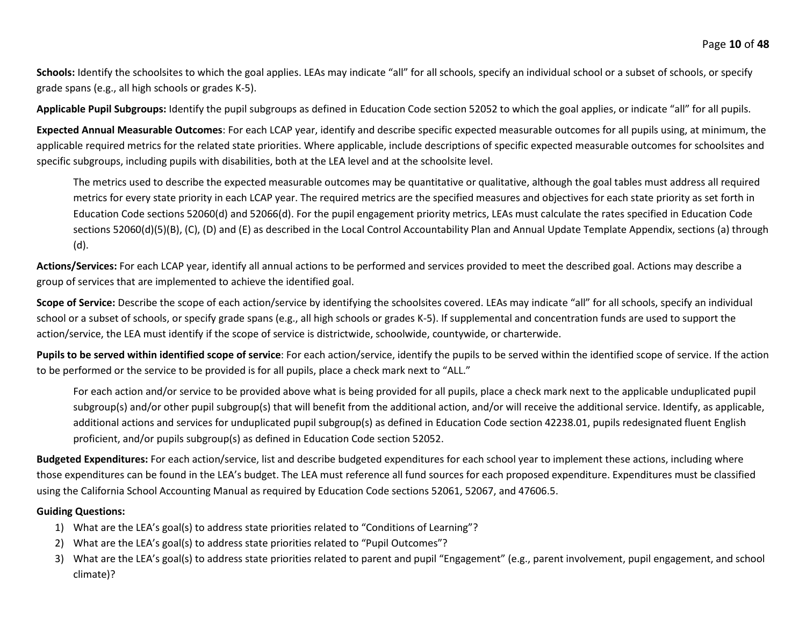Schools: Identify the schoolsites to which the goal applies. LEAs may indicate "all" for all schools, specify an individual school or a subset of schools, or specify grade spans (e.g., all high schools or grades K-5).

**Applicable Pupil Subgroups:** Identify the pupil subgroups as defined in Education Code section 52052 to which the goal applies, or indicate "all" for all pupils.

**Expected Annual Measurable Outcomes**: For each LCAP year, identify and describe specific expected measurable outcomes for all pupils using, at minimum, the applicable required metrics for the related state priorities. Where applicable, include descriptions of specific expected measurable outcomes for schoolsites and specific subgroups, including pupils with disabilities, both at the LEA level and at the schoolsite level.

The metrics used to describe the expected measurable outcomes may be quantitative or qualitative, although the goal tables must address all required metrics for every state priority in each LCAP year. The required metrics are the specified measures and objectives for each state priority as set forth in Education Code sections 52060(d) and 52066(d). For the pupil engagement priority metrics, LEAs must calculate the rates specified in Education Code sections 52060(d)(5)(B), (C), (D) and (E) as described in the Local Control Accountability Plan and Annual Update Template Appendix, sections (a) through (d).

**Actions/Services:** For each LCAP year, identify all annual actions to be performed and services provided to meet the described goal. Actions may describe a group of services that are implemented to achieve the identified goal.

**Scope of Service:** Describe the scope of each action/service by identifying the schoolsites covered. LEAs may indicate "all" for all schools, specify an individual school or a subset of schools, or specify grade spans (e.g., all high schools or grades K-5). If supplemental and concentration funds are used to support the action/service, the LEA must identify if the scope of service is districtwide, schoolwide, countywide, or charterwide.

**Pupils to be served within identified scope of service**: For each action/service, identify the pupils to be served within the identified scope of service. If the action to be performed or the service to be provided is for all pupils, place a check mark next to "ALL."

For each action and/or service to be provided above what is being provided for all pupils, place a check mark next to the applicable unduplicated pupil subgroup(s) and/or other pupil subgroup(s) that will benefit from the additional action, and/or will receive the additional service. Identify, as applicable, additional actions and services for unduplicated pupil subgroup(s) as defined in Education Code section 42238.01, pupils redesignated fluent English proficient, and/or pupils subgroup(s) as defined in Education Code section 52052.

**Budgeted Expenditures:** For each action/service, list and describe budgeted expenditures for each school year to implement these actions, including where those expenditures can be found in the LEA's budget. The LEA must reference all fund sources for each proposed expenditure. Expenditures must be classified using the California School Accounting Manual as required by Education Code sections 52061, 52067, and 47606.5.

#### **Guiding Questions:**

- 1) What are the LEA's goal(s) to address state priorities related to "Conditions of Learning"?
- 2) What are the LEA's goal(s) to address state priorities related to "Pupil Outcomes"?
- 3) What are the LEA's goal(s) to address state priorities related to parent and pupil "Engagement" (e.g., parent involvement, pupil engagement, and school climate)?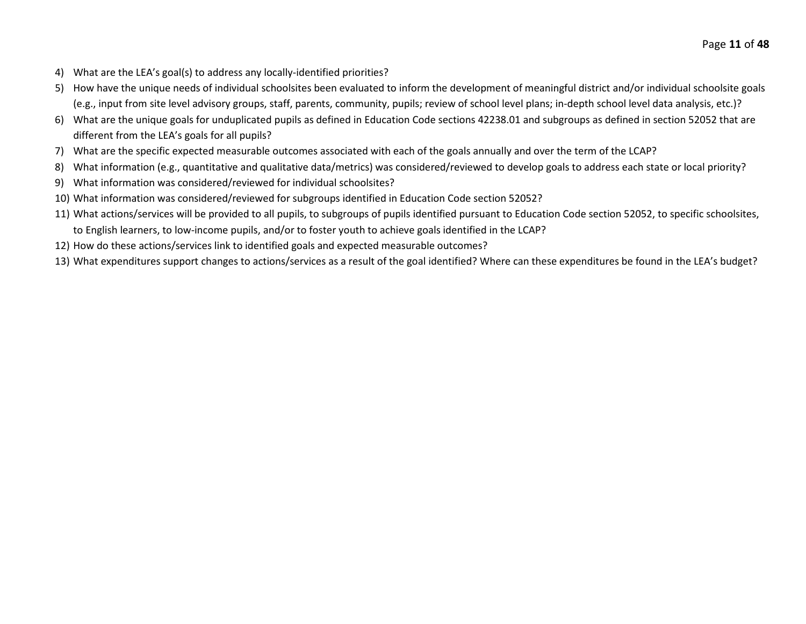- 4) What are the LEA's goal(s) to address any locally-identified priorities?
- 5) How have the unique needs of individual schoolsites been evaluated to inform the development of meaningful district and/or individual schoolsite goals (e.g., input from site level advisory groups, staff, parents, community, pupils; review of school level plans; in-depth school level data analysis, etc.)?
- 6) What are the unique goals for unduplicated pupils as defined in Education Code sections 42238.01 and subgroups as defined in section 52052 that are different from the LEA's goals for all pupils?
- 7) What are the specific expected measurable outcomes associated with each of the goals annually and over the term of the LCAP?
- 8) What information (e.g., quantitative and qualitative data/metrics) was considered/reviewed to develop goals to address each state or local priority?
- 9) What information was considered/reviewed for individual schoolsites?
- 10) What information was considered/reviewed for subgroups identified in Education Code section 52052?
- 11) What actions/services will be provided to all pupils, to subgroups of pupils identified pursuant to Education Code section 52052, to specific schoolsites, to English learners, to low-income pupils, and/or to foster youth to achieve goals identified in the LCAP?
- 12) How do these actions/services link to identified goals and expected measurable outcomes?
- 13) What expenditures support changes to actions/services as a result of the goal identified? Where can these expenditures be found in the LEA's budget?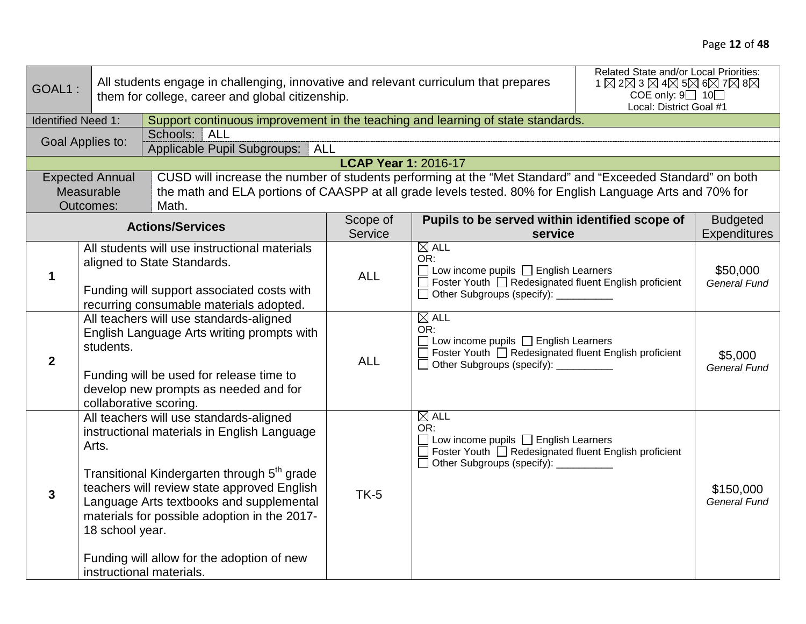| GOAL1:                    |                                                                                                                                                                                                                   | All students engage in challenging, innovative and relevant curriculum that prepares<br>them for college, career and global citizenship.                                                                                                                                                                                                   | Related State and/or Local Priorities:<br>$1\boxtimes 2\boxtimes 3\boxtimes 4\boxtimes 5\boxtimes 6\boxtimes 7\boxtimes 8\boxtimes$<br>COE only: $9 \square$ 10<br>Local: District Goal #1 |                                                                                                                                                                                           |                                                |                                                 |
|---------------------------|-------------------------------------------------------------------------------------------------------------------------------------------------------------------------------------------------------------------|--------------------------------------------------------------------------------------------------------------------------------------------------------------------------------------------------------------------------------------------------------------------------------------------------------------------------------------------|--------------------------------------------------------------------------------------------------------------------------------------------------------------------------------------------|-------------------------------------------------------------------------------------------------------------------------------------------------------------------------------------------|------------------------------------------------|-------------------------------------------------|
| <b>Identified Need 1:</b> |                                                                                                                                                                                                                   | Support continuous improvement in the teaching and learning of state standards.                                                                                                                                                                                                                                                            |                                                                                                                                                                                            |                                                                                                                                                                                           |                                                |                                                 |
|                           | Goal Applies to:                                                                                                                                                                                                  | Schools: ALL                                                                                                                                                                                                                                                                                                                               |                                                                                                                                                                                            |                                                                                                                                                                                           |                                                |                                                 |
|                           |                                                                                                                                                                                                                   | Applicable Pupil Subgroups: ALL                                                                                                                                                                                                                                                                                                            | <b>LCAP Year 1: 2016-17</b>                                                                                                                                                                |                                                                                                                                                                                           |                                                |                                                 |
|                           | <b>Expected Annual</b>                                                                                                                                                                                            | CUSD will increase the number of students performing at the "Met Standard" and "Exceeded Standard" on both                                                                                                                                                                                                                                 |                                                                                                                                                                                            |                                                                                                                                                                                           |                                                |                                                 |
|                           | Measurable<br>Outcomes:                                                                                                                                                                                           | the math and ELA portions of CAASPP at all grade levels tested. 80% for English Language Arts and 70% for<br>Math.                                                                                                                                                                                                                         |                                                                                                                                                                                            |                                                                                                                                                                                           |                                                |                                                 |
|                           |                                                                                                                                                                                                                   | <b>Actions/Services</b>                                                                                                                                                                                                                                                                                                                    | Scope of                                                                                                                                                                                   |                                                                                                                                                                                           | Pupils to be served within identified scope of |                                                 |
| 1                         | All students will use instructional materials<br>aligned to State Standards.<br>Funding will support associated costs with<br>recurring consumable materials adopted.                                             |                                                                                                                                                                                                                                                                                                                                            | Service<br><b>ALL</b>                                                                                                                                                                      | service<br>$\boxtimes$ ALL<br>OR:<br>$\Box$ Low income pupils $\Box$ English Learners<br>Foster Youth □ Redesignated fluent English proficient<br>□ Other Subgroups (specify): __________ |                                                | Expenditures<br>\$50,000<br><b>General Fund</b> |
| $\overline{2}$            | All teachers will use standards-aligned<br>English Language Arts writing prompts with<br>students.<br>Funding will be used for release time to<br>develop new prompts as needed and for<br>collaborative scoring. |                                                                                                                                                                                                                                                                                                                                            | <b>ALL</b>                                                                                                                                                                                 | $\boxtimes$ ALL<br>OR:<br>$\Box$ Low income pupils $\Box$ English Learners<br>□ Foster Youth □ Redesignated fluent English proficient<br>□ Other Subgroups (specify): __________          |                                                | \$5,000<br><b>General Fund</b>                  |
| $\mathbf{3}$              | Arts.<br>18 school year.<br>instructional materials.                                                                                                                                                              | All teachers will use standards-aligned<br>instructional materials in English Language<br>Transitional Kindergarten through 5 <sup>th</sup> grade<br>teachers will review state approved English<br>Language Arts textbooks and supplemental<br>materials for possible adoption in the 2017-<br>Funding will allow for the adoption of new | $TK-5$                                                                                                                                                                                     | $\boxtimes$ ALL<br>OR:<br>$\Box$ Low income pupils $\Box$ English Learners<br>□ Foster Youth □ Redesignated fluent English proficient<br>□ Other Subgroups (specify): __________          |                                                | \$150,000<br><b>General Fund</b>                |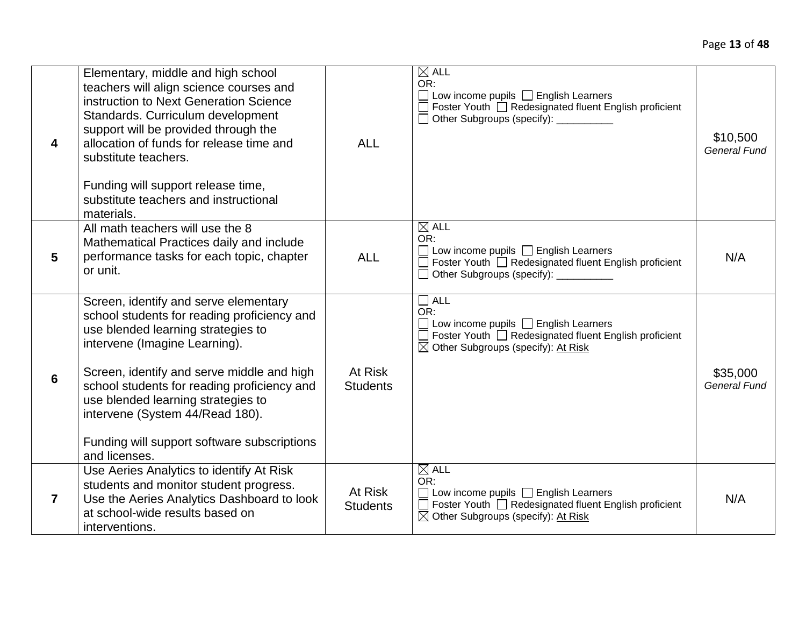| 4              | Elementary, middle and high school<br>teachers will align science courses and<br>instruction to Next Generation Science<br>Standards. Curriculum development<br>support will be provided through the<br>allocation of funds for release time and<br>substitute teachers.<br>Funding will support release time,<br>substitute teachers and instructional<br>materials.                             | <b>ALL</b>                 | $\boxtimes$ all<br>OR:<br>Low income pupils □ English Learners<br>Foster Youth □ Redesignated fluent English proficient<br>Other Subgroups (specify): __________                      | \$10,500<br><b>General Fund</b> |
|----------------|---------------------------------------------------------------------------------------------------------------------------------------------------------------------------------------------------------------------------------------------------------------------------------------------------------------------------------------------------------------------------------------------------|----------------------------|---------------------------------------------------------------------------------------------------------------------------------------------------------------------------------------|---------------------------------|
| 5              | All math teachers will use the 8<br>Mathematical Practices daily and include<br>performance tasks for each topic, chapter<br>or unit.                                                                                                                                                                                                                                                             | <b>ALL</b>                 | $\boxtimes$ ALL<br>OR:<br>Low income pupils □ English Learners<br>Foster Youth <b>C</b> Redesignated fluent English proficient<br>Other Subgroups (specify): ___________              | N/A                             |
| 6              | Screen, identify and serve elementary<br>school students for reading proficiency and<br>use blended learning strategies to<br>intervene (Imagine Learning).<br>Screen, identify and serve middle and high<br>school students for reading proficiency and<br>use blended learning strategies to<br>intervene (System 44/Read 180).<br>Funding will support software subscriptions<br>and licenses. | At Risk<br><b>Students</b> | $\Box$ ALL<br>OR:<br>Low income pupils $\Box$ English Learners<br>Foster Youth $\Box$ Redesignated fluent English proficient<br>$\boxtimes$ Other Subgroups (specify): At Risk        | \$35,000<br><b>General Fund</b> |
| $\overline{7}$ | Use Aeries Analytics to identify At Risk<br>students and monitor student progress.<br>Use the Aeries Analytics Dashboard to look<br>at school-wide results based on<br>interventions.                                                                                                                                                                                                             | At Risk<br><b>Students</b> | $\boxtimes$ ALL<br>OR:<br>Low income pupils $\Box$ English Learners<br>Foster Youth <b>C</b> Redesignated fluent English proficient<br>$\boxtimes$ Other Subgroups (specify): At Risk | N/A                             |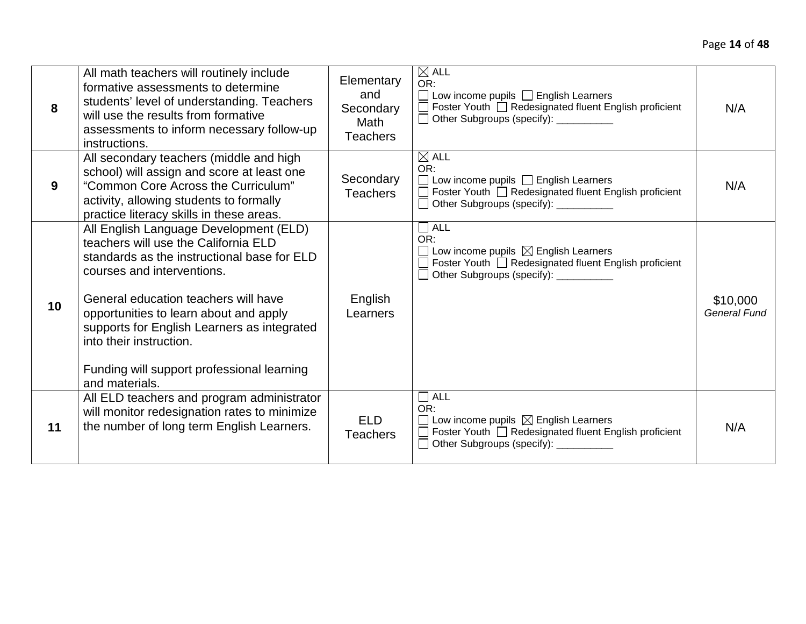| 8               | All math teachers will routinely include<br>formative assessments to determine<br>students' level of understanding. Teachers<br>will use the results from formative<br>assessments to inform necessary follow-up<br>instructions.                                                                                                                                                       | Elementary<br>and<br>Secondary<br><b>Math</b><br><b>Teachers</b> | $\boxtimes$ ALL<br>OR:<br>$\Box$ Low income pupils $\Box$ English Learners<br>$\Box$ Foster Youth $\Box$ Redesignated fluent English proficient<br>□ Other Subgroups (specify): ___________ | N/A                             |
|-----------------|-----------------------------------------------------------------------------------------------------------------------------------------------------------------------------------------------------------------------------------------------------------------------------------------------------------------------------------------------------------------------------------------|------------------------------------------------------------------|---------------------------------------------------------------------------------------------------------------------------------------------------------------------------------------------|---------------------------------|
| 9               | All secondary teachers (middle and high<br>school) will assign and score at least one<br>"Common Core Across the Curriculum"<br>activity, allowing students to formally<br>practice literacy skills in these areas.                                                                                                                                                                     | Secondary<br><b>Teachers</b>                                     | $\boxtimes$ ALL<br>OR:<br>$\Box$ Low income pupils $\Box$ English Learners<br>□ Foster Youth □ Redesignated fluent English proficient<br>□ Other Subgroups (specify): <u>_______</u> ____   | N/A                             |
| 10 <sup>1</sup> | All English Language Development (ELD)<br>teachers will use the California ELD<br>standards as the instructional base for ELD<br>courses and interventions.<br>General education teachers will have<br>opportunities to learn about and apply<br>supports for English Learners as integrated<br>into their instruction.<br>Funding will support professional learning<br>and materials. | English<br>Learners                                              | $\Box$ ALL<br>OR:<br>$\Box$ Low income pupils $\boxtimes$ English Learners<br>Foster Youth [ Redesignated fluent English proficient<br>□ Other Subgroups (specify): __________              | \$10,000<br><b>General Fund</b> |
| 11              | All ELD teachers and program administrator<br>will monitor redesignation rates to minimize<br>the number of long term English Learners.                                                                                                                                                                                                                                                 | <b>ELD</b><br><b>Teachers</b>                                    | $\Box$ ALL<br>OR:<br>$\Box$ Low income pupils $\boxtimes$ English Learners<br>□ Foster Youth □ Redesignated fluent English proficient<br>Other Subgroups (specify): __________              | N/A                             |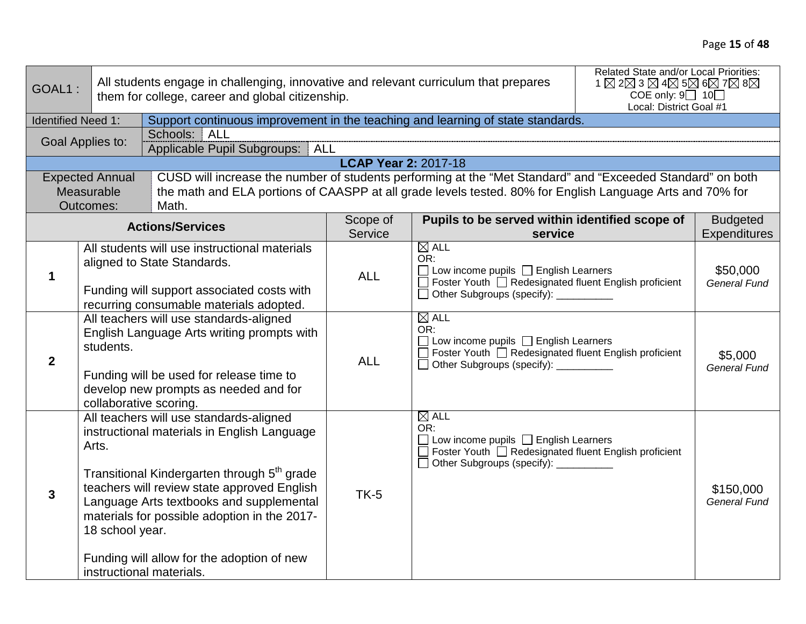| GOAL1:                    |                                                                                                                                                                                                                                                                                                                                                                                                                              | All students engage in challenging, innovative and relevant curriculum that prepares<br>them for college, career and global citizenship.                                                                                         | Related State and/or Local Priorities:<br>1 $\boxtimes$ 2 $\boxtimes$ 3 $\boxtimes$ 4 $\boxtimes$ 5 $\boxtimes$ 6 $\boxtimes$ 7 $\boxtimes$ 8 $\boxtimes$<br>COE only: $9 \square$ 10<br>Local: District Goal #1 |                                                                                                                                                                                  |  |                                  |
|---------------------------|------------------------------------------------------------------------------------------------------------------------------------------------------------------------------------------------------------------------------------------------------------------------------------------------------------------------------------------------------------------------------------------------------------------------------|----------------------------------------------------------------------------------------------------------------------------------------------------------------------------------------------------------------------------------|------------------------------------------------------------------------------------------------------------------------------------------------------------------------------------------------------------------|----------------------------------------------------------------------------------------------------------------------------------------------------------------------------------|--|----------------------------------|
| <b>Identified Need 1:</b> |                                                                                                                                                                                                                                                                                                                                                                                                                              | Support continuous improvement in the teaching and learning of state standards.                                                                                                                                                  |                                                                                                                                                                                                                  |                                                                                                                                                                                  |  |                                  |
|                           | Goal Applies to:                                                                                                                                                                                                                                                                                                                                                                                                             | Schools: ALL<br>Applicable Pupil Subgroups:<br><b>ALL</b>                                                                                                                                                                        |                                                                                                                                                                                                                  |                                                                                                                                                                                  |  |                                  |
|                           |                                                                                                                                                                                                                                                                                                                                                                                                                              |                                                                                                                                                                                                                                  | <b>LCAP Year 2: 2017-18</b>                                                                                                                                                                                      |                                                                                                                                                                                  |  |                                  |
|                           | <b>Expected Annual</b><br>Measurable<br>Outcomes:                                                                                                                                                                                                                                                                                                                                                                            | CUSD will increase the number of students performing at the "Met Standard" and "Exceeded Standard" on both<br>the math and ELA portions of CAASPP at all grade levels tested. 80% for English Language Arts and 70% for<br>Math. |                                                                                                                                                                                                                  |                                                                                                                                                                                  |  |                                  |
|                           |                                                                                                                                                                                                                                                                                                                                                                                                                              | <b>Actions/Services</b>                                                                                                                                                                                                          | Scope of                                                                                                                                                                                                         | Pupils to be served within identified scope of                                                                                                                                   |  | <b>Budgeted</b>                  |
|                           |                                                                                                                                                                                                                                                                                                                                                                                                                              |                                                                                                                                                                                                                                  | Service                                                                                                                                                                                                          | service<br>$\boxtimes$ ALL                                                                                                                                                       |  | Expenditures                     |
| 1                         | All students will use instructional materials<br>aligned to State Standards.<br>Funding will support associated costs with<br>recurring consumable materials adopted.                                                                                                                                                                                                                                                        |                                                                                                                                                                                                                                  | <b>ALL</b>                                                                                                                                                                                                       | OR:<br>$\Box$ Low income pupils $\Box$ English Learners<br>Foster Youth □ Redesignated fluent English proficient<br>□ Other Subgroups (specify): __________                      |  | \$50,000<br><b>General Fund</b>  |
| $\overline{2}$            | All teachers will use standards-aligned<br>English Language Arts writing prompts with<br>students.<br>Funding will be used for release time to<br>develop new prompts as needed and for                                                                                                                                                                                                                                      |                                                                                                                                                                                                                                  | <b>ALL</b>                                                                                                                                                                                                       | $\boxtimes$ ALL<br>OR:<br>$\Box$ Low income pupils $\Box$ English Learners<br>□ Foster Youth □ Redesignated fluent English proficient<br>□ Other Subgroups (specify): __________ |  | \$5,000<br><b>General Fund</b>   |
| $\mathbf{3}$              | collaborative scoring.<br>All teachers will use standards-aligned<br>instructional materials in English Language<br>Arts.<br>Transitional Kindergarten through 5 <sup>th</sup> grade<br>teachers will review state approved English<br>Language Arts textbooks and supplemental<br>materials for possible adoption in the 2017-<br>18 school year.<br>Funding will allow for the adoption of new<br>instructional materials. |                                                                                                                                                                                                                                  | $TK-5$                                                                                                                                                                                                           | $\boxtimes$ ALL<br>OR:<br>$\Box$ Low income pupils $\Box$ English Learners<br>□ Foster Youth □ Redesignated fluent English proficient<br>Other Subgroups (specify): __________   |  | \$150,000<br><b>General Fund</b> |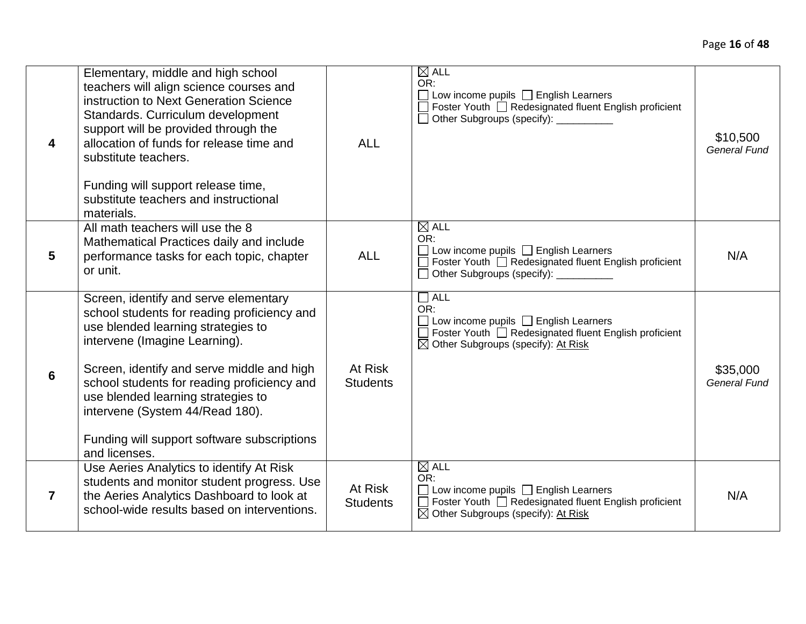|                         | Elementary, middle and high school                                                                                                                                                                                                                                                                                                                                                                |                            | $\boxtimes$ ALL                                                                                                                                                                  |                                 |
|-------------------------|---------------------------------------------------------------------------------------------------------------------------------------------------------------------------------------------------------------------------------------------------------------------------------------------------------------------------------------------------------------------------------------------------|----------------------------|----------------------------------------------------------------------------------------------------------------------------------------------------------------------------------|---------------------------------|
| $\overline{\mathbf{4}}$ | teachers will align science courses and<br>instruction to Next Generation Science<br>Standards. Curriculum development<br>support will be provided through the<br>allocation of funds for release time and<br>substitute teachers.<br>Funding will support release time,<br>substitute teachers and instructional<br>materials.                                                                   | <b>ALL</b>                 | OR:<br>Low income pupils $\Box$ English Learners<br>Foster Youth □ Redesignated fluent English proficient<br>Other Subgroups (specify): __________                               | \$10,500<br><b>General Fund</b> |
| 5                       | All math teachers will use the 8<br>Mathematical Practices daily and include<br>performance tasks for each topic, chapter<br>or unit.                                                                                                                                                                                                                                                             | <b>ALL</b>                 | $\boxtimes$ ALL<br>OR:<br>Low income pupils <b>Learners</b><br>Foster Youth □ Redesignated fluent English proficient<br>Other Subgroups (specify): ___________                   | N/A                             |
| 6                       | Screen, identify and serve elementary<br>school students for reading proficiency and<br>use blended learning strategies to<br>intervene (Imagine Learning).<br>Screen, identify and serve middle and high<br>school students for reading proficiency and<br>use blended learning strategies to<br>intervene (System 44/Read 180).<br>Funding will support software subscriptions<br>and licenses. | At Risk<br><b>Students</b> | $\Box$ ALL<br>OR:<br>Low income pupils <b>English Learners</b><br>Foster Youth <b>C</b> Redesignated fluent English proficient<br>$\boxtimes$ Other Subgroups (specify): At Risk | \$35,000<br><b>General Fund</b> |
| $\overline{7}$          | Use Aeries Analytics to identify At Risk<br>students and monitor student progress. Use<br>the Aeries Analytics Dashboard to look at<br>school-wide results based on interventions.                                                                                                                                                                                                                | At Risk<br><b>Students</b> | $\boxtimes$ ALL<br>OR:<br>Low income pupils <b>English Learners</b><br>Foster Youth □ Redesignated fluent English proficient<br>$\boxtimes$ Other Subgroups (specify): At Risk   | N/A                             |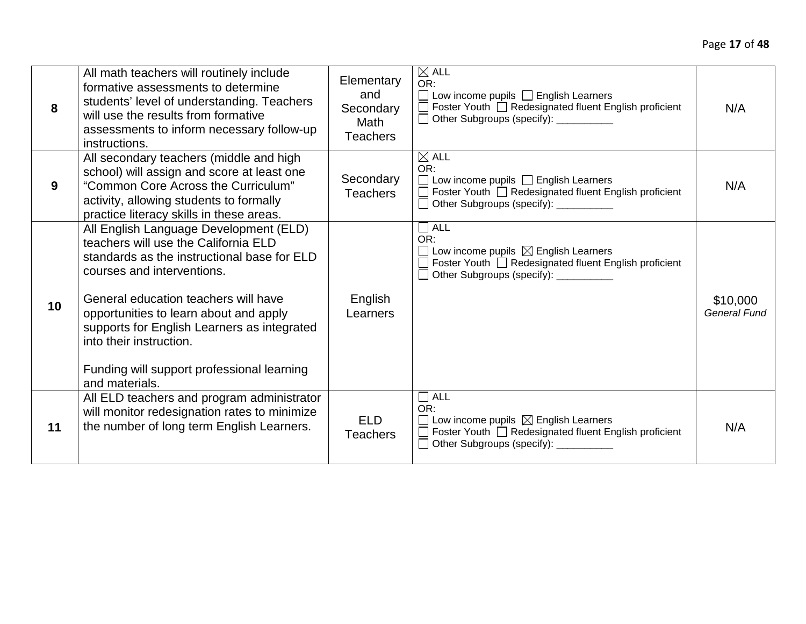| 8               | All math teachers will routinely include<br>formative assessments to determine<br>students' level of understanding. Teachers<br>will use the results from formative<br>assessments to inform necessary follow-up<br>instructions.                                                                                                                                                       | Elementary<br>and<br>Secondary<br>Math<br><b>Teachers</b> | $\boxtimes$ ALL<br>OR:<br>$\Box$ Low income pupils $\Box$ English Learners<br>$\Box$ Foster Youth $\Box$ Redesignated fluent English proficient<br>□ Other Subgroups (specify): __________ | N/A                             |
|-----------------|-----------------------------------------------------------------------------------------------------------------------------------------------------------------------------------------------------------------------------------------------------------------------------------------------------------------------------------------------------------------------------------------|-----------------------------------------------------------|--------------------------------------------------------------------------------------------------------------------------------------------------------------------------------------------|---------------------------------|
| 9               | All secondary teachers (middle and high<br>school) will assign and score at least one<br>"Common Core Across the Curriculum"<br>activity, allowing students to formally<br>practice literacy skills in these areas.                                                                                                                                                                     | Secondary<br><b>Teachers</b>                              | $\boxtimes$ ALL<br>OR:<br>$\Box$ Low income pupils $\Box$ English Learners<br>$\Box$ Foster Youth $\Box$ Redesignated fluent English proficient<br>Other Subgroups (specify): __________   | N/A                             |
| 10 <sup>°</sup> | All English Language Development (ELD)<br>teachers will use the California ELD<br>standards as the instructional base for ELD<br>courses and interventions.<br>General education teachers will have<br>opportunities to learn about and apply<br>supports for English Learners as integrated<br>into their instruction.<br>Funding will support professional learning<br>and materials. | English<br>Learners                                       | $\Box$ ALL<br>OR:<br>$\Box$ Low income pupils $\boxtimes$ English Learners<br>□ Foster Youth □ Redesignated fluent English proficient<br>□ Other Subgroups (specify): __________           | \$10,000<br><b>General Fund</b> |
| 11              | All ELD teachers and program administrator<br>will monitor redesignation rates to minimize<br>the number of long term English Learners.                                                                                                                                                                                                                                                 | <b>ELD</b><br><b>Teachers</b>                             | $\Box$ ALL<br>OR:<br>$\Box$ Low income pupils $\boxtimes$ English Learners<br>□ Foster Youth □ Redesignated fluent English proficient<br>□ Other Subgroups (specify): __________           | N/A                             |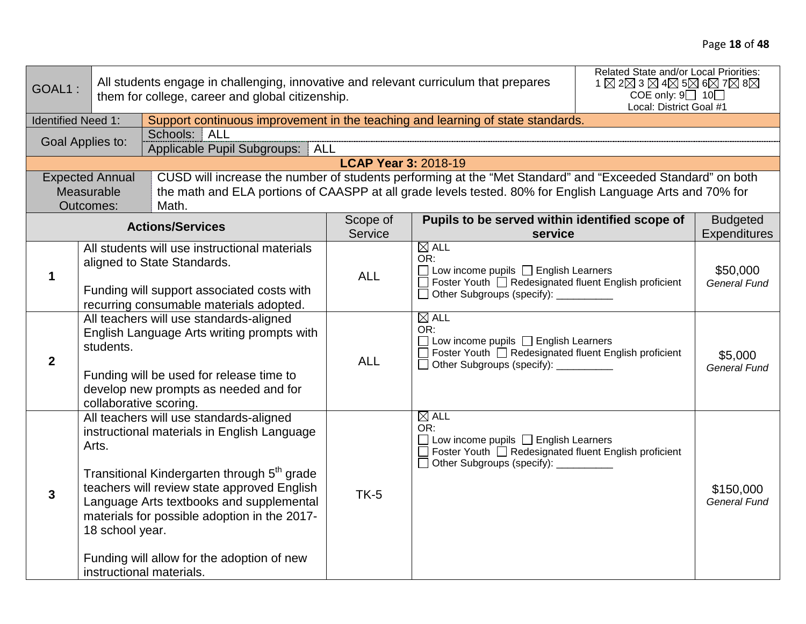| GOAL1:                    |                                                                                                                                                                       | All students engage in challenging, innovative and relevant curriculum that prepares<br>them for college, career and global citizenship.                                                                                                                                                                                                   |                             | Related State and/or Local Priorities:<br>$1\boxtimes 2\boxtimes 3\boxtimes 4\boxtimes 5\boxtimes 6\boxtimes 7\boxtimes 8\boxtimes$<br>COE only: $9 \square$ 10<br>Local: District Goal #1 |  |                                  |
|---------------------------|-----------------------------------------------------------------------------------------------------------------------------------------------------------------------|--------------------------------------------------------------------------------------------------------------------------------------------------------------------------------------------------------------------------------------------------------------------------------------------------------------------------------------------|-----------------------------|--------------------------------------------------------------------------------------------------------------------------------------------------------------------------------------------|--|----------------------------------|
| <b>Identified Need 1:</b> |                                                                                                                                                                       | Support continuous improvement in the teaching and learning of state standards.                                                                                                                                                                                                                                                            |                             |                                                                                                                                                                                            |  |                                  |
|                           | Goal Applies to:                                                                                                                                                      | Schools: ALL                                                                                                                                                                                                                                                                                                                               |                             |                                                                                                                                                                                            |  |                                  |
|                           |                                                                                                                                                                       | Applicable Pupil Subgroups: ALL                                                                                                                                                                                                                                                                                                            | <b>LCAP Year 3: 2018-19</b> |                                                                                                                                                                                            |  |                                  |
|                           | <b>Expected Annual</b>                                                                                                                                                | CUSD will increase the number of students performing at the "Met Standard" and "Exceeded Standard" on both                                                                                                                                                                                                                                 |                             |                                                                                                                                                                                            |  |                                  |
|                           | Measurable<br>Outcomes:                                                                                                                                               | the math and ELA portions of CAASPP at all grade levels tested. 80% for English Language Arts and 70% for<br>Math.                                                                                                                                                                                                                         |                             |                                                                                                                                                                                            |  |                                  |
|                           |                                                                                                                                                                       | <b>Actions/Services</b>                                                                                                                                                                                                                                                                                                                    | Scope of                    | Pupils to be served within identified scope of                                                                                                                                             |  | <b>Budgeted</b>                  |
|                           |                                                                                                                                                                       |                                                                                                                                                                                                                                                                                                                                            | Service                     | service                                                                                                                                                                                    |  | Expenditures                     |
| 1                         | All students will use instructional materials<br>aligned to State Standards.<br>Funding will support associated costs with<br>recurring consumable materials adopted. |                                                                                                                                                                                                                                                                                                                                            | <b>ALL</b>                  | $\boxtimes$ ALL<br>OR:<br>$\Box$ Low income pupils $\Box$ English Learners<br>Foster Youth □ Redesignated fluent English proficient<br>□ Other Subgroups (specify): __________             |  | \$50,000<br><b>General Fund</b>  |
| $\overline{2}$            | students.<br>collaborative scoring.                                                                                                                                   | All teachers will use standards-aligned<br>English Language Arts writing prompts with<br>Funding will be used for release time to<br>develop new prompts as needed and for                                                                                                                                                                 | <b>ALL</b>                  | $\boxtimes$ ALL<br>OR:<br>$\Box$ Low income pupils $\Box$ English Learners<br>□ Foster Youth □ Redesignated fluent English proficient<br>□ Other Subgroups (specify): __________           |  | \$5,000<br><b>General Fund</b>   |
| $\mathbf{3}$              | Arts.<br>18 school year.<br>instructional materials.                                                                                                                  | All teachers will use standards-aligned<br>instructional materials in English Language<br>Transitional Kindergarten through 5 <sup>th</sup> grade<br>teachers will review state approved English<br>Language Arts textbooks and supplemental<br>materials for possible adoption in the 2017-<br>Funding will allow for the adoption of new | $TK-5$                      | $\boxtimes$ ALL<br>OR:<br>$\Box$ Low income pupils $\Box$ English Learners<br>□ Foster Youth □ Redesignated fluent English proficient<br>□ Other Subgroups (specify): __________           |  | \$150,000<br><b>General Fund</b> |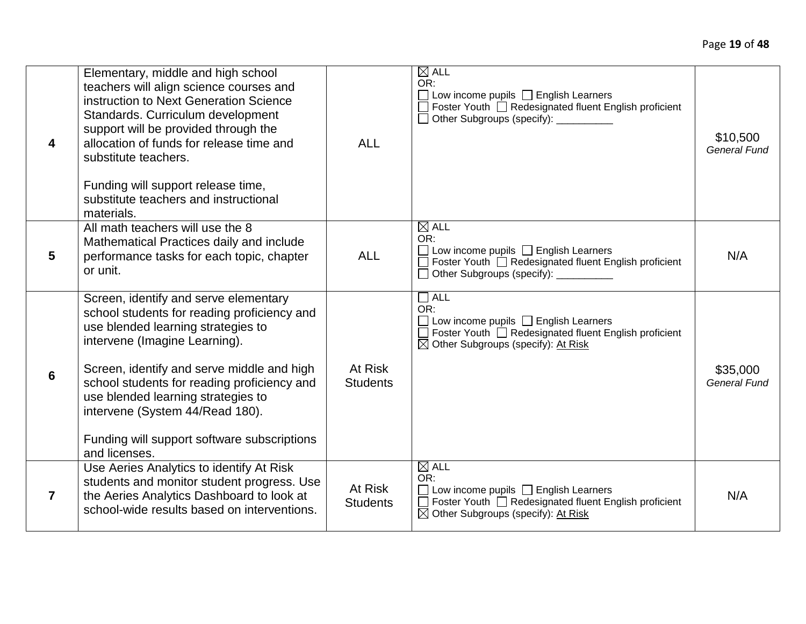| 4              | Elementary, middle and high school<br>teachers will align science courses and<br>instruction to Next Generation Science<br>Standards. Curriculum development<br>support will be provided through the<br>allocation of funds for release time and<br>substitute teachers.<br>Funding will support release time,<br>substitute teachers and instructional<br>materials.                             | <b>ALL</b>                 | $\boxtimes$ ALL<br>OR:<br>$\Box$ Low income pupils $\Box$ English Learners<br>Foster Youth [ Redesignated fluent English proficient<br>□ Other Subgroups (specify): __________          | \$10,500<br><b>General Fund</b> |
|----------------|---------------------------------------------------------------------------------------------------------------------------------------------------------------------------------------------------------------------------------------------------------------------------------------------------------------------------------------------------------------------------------------------------|----------------------------|-----------------------------------------------------------------------------------------------------------------------------------------------------------------------------------------|---------------------------------|
| 5              | All math teachers will use the 8<br>Mathematical Practices daily and include<br>performance tasks for each topic, chapter<br>or unit.                                                                                                                                                                                                                                                             | <b>ALL</b>                 | $\boxtimes$ ALL<br>OR:<br>$\Box$ Low income pupils $\Box$ English Learners<br>□ Foster Youth □ Redesignated fluent English proficient<br>□ Other Subgroups (specify): __________        | N/A                             |
| 6              | Screen, identify and serve elementary<br>school students for reading proficiency and<br>use blended learning strategies to<br>intervene (Imagine Learning).<br>Screen, identify and serve middle and high<br>school students for reading proficiency and<br>use blended learning strategies to<br>intervene (System 44/Read 180).<br>Funding will support software subscriptions<br>and licenses. | At Risk<br><b>Students</b> | $\Box$ ALL<br>OR:<br>$\Box$ Low income pupils $\Box$ English Learners<br>Foster Youth <b>C</b> Redesignated fluent English proficient<br>⊠ Other Subgroups (specify): At Risk           | \$35,000<br><b>General Fund</b> |
| $\overline{7}$ | Use Aeries Analytics to identify At Risk<br>students and monitor student progress. Use<br>the Aeries Analytics Dashboard to look at<br>school-wide results based on interventions.                                                                                                                                                                                                                | At Risk<br><b>Students</b> | $\boxtimes$ ALL<br>OR:<br>$\Box$ Low income pupils $\Box$ English Learners<br>□ Foster Youth □ Redesignated fluent English proficient<br>$\boxtimes$ Other Subgroups (specify): At Risk | N/A                             |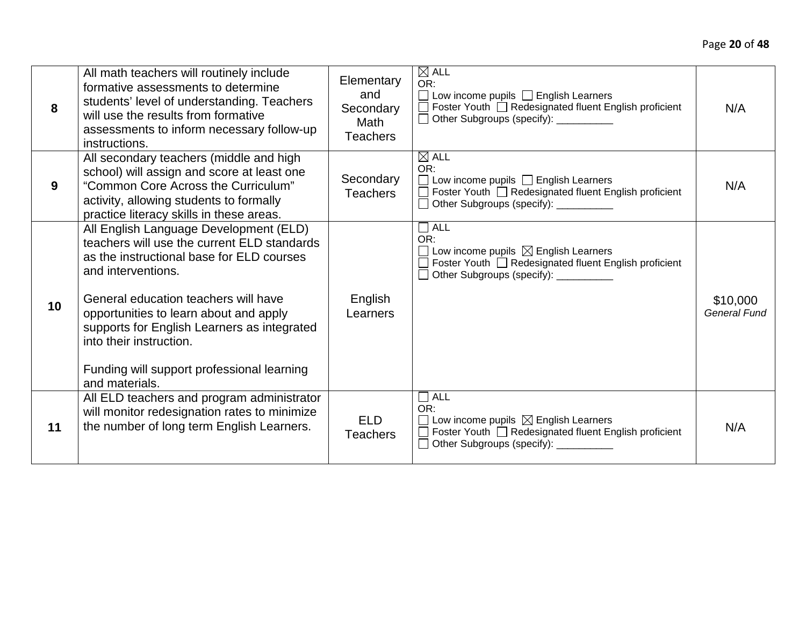| 8               | All math teachers will routinely include<br>formative assessments to determine<br>students' level of understanding. Teachers<br>will use the results from formative<br>assessments to inform necessary follow-up<br>instructions.                                                                                                                                                    | Elementary<br>and<br>Secondary<br><b>Math</b><br><b>Teachers</b> | $\boxtimes$ ALL<br>OR:<br>$\Box$ Low income pupils $\Box$ English Learners<br>$\Box$ Foster Youth $\Box$ Redesignated fluent English proficient<br>□ Other Subgroups (specify): __________ | N/A                             |
|-----------------|--------------------------------------------------------------------------------------------------------------------------------------------------------------------------------------------------------------------------------------------------------------------------------------------------------------------------------------------------------------------------------------|------------------------------------------------------------------|--------------------------------------------------------------------------------------------------------------------------------------------------------------------------------------------|---------------------------------|
| 9               | All secondary teachers (middle and high<br>school) will assign and score at least one<br>"Common Core Across the Curriculum"<br>activity, allowing students to formally<br>practice literacy skills in these areas.                                                                                                                                                                  | Secondary<br><b>Teachers</b>                                     | $\boxtimes$ ALL<br>OR:<br>$\Box$ Low income pupils $\Box$ English Learners<br>□ Foster Youth □ Redesignated fluent English proficient<br>□ Other Subgroups (specify): __________           | N/A                             |
| 10 <sup>°</sup> | All English Language Development (ELD)<br>teachers will use the current ELD standards<br>as the instructional base for ELD courses<br>and interventions.<br>General education teachers will have<br>opportunities to learn about and apply<br>supports for English Learners as integrated<br>into their instruction.<br>Funding will support professional learning<br>and materials. | English<br>Learners                                              | $\Box$ ALL<br>OR:<br>$\Box$ Low income pupils $\boxtimes$ English Learners<br>Foster Youth [ Redesignated fluent English proficient<br>□ Other Subgroups (specify): __________             | \$10,000<br><b>General Fund</b> |
| 11              | All ELD teachers and program administrator<br>will monitor redesignation rates to minimize<br>the number of long term English Learners.                                                                                                                                                                                                                                              | <b>ELD</b><br><b>Teachers</b>                                    | $\Box$ ALL<br>OR:<br>$\Box$ Low income pupils $\boxtimes$ English Learners<br>□ Foster Youth □ Redesignated fluent English proficient<br>Other Subgroups (specify): __________             | N/A                             |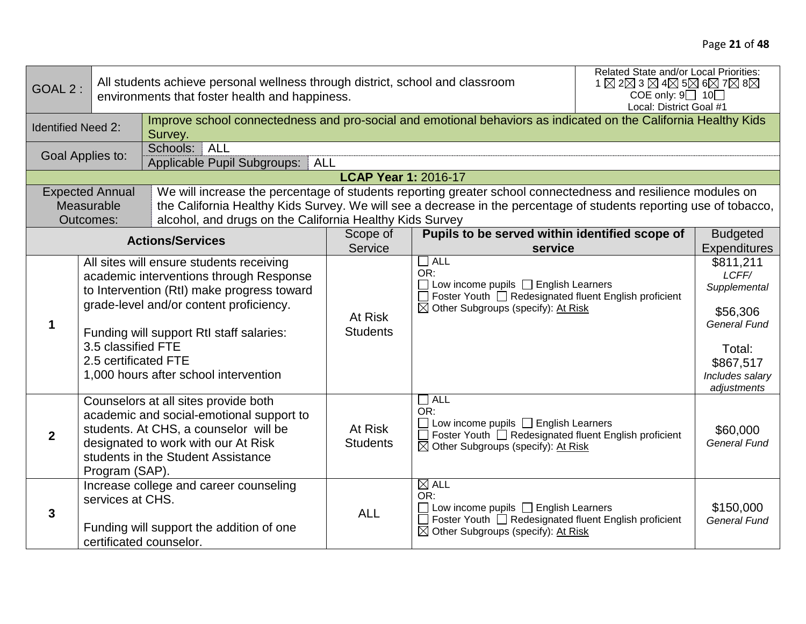| GOAL 2 :                                                                                                                                                                                                                                                                                                                                            | Related State and/or Local Priorities:<br>All students achieve personal wellness through district, school and classroom<br>1 $\boxtimes$ 2 $\boxtimes$ 3 $\boxtimes$ 4 $\boxtimes$ 5 $\boxtimes$ 6 $\boxtimes$ 7 $\boxtimes$ 8 $\boxtimes$<br>COE only: 9□ 10□<br>environments that foster health and happiness.<br>Local: District Goal #1 |                                                                                                                                                                                                                                                                   |                             |                                                                                                                                                                                    |  |                                                                                                                                |
|-----------------------------------------------------------------------------------------------------------------------------------------------------------------------------------------------------------------------------------------------------------------------------------------------------------------------------------------------------|---------------------------------------------------------------------------------------------------------------------------------------------------------------------------------------------------------------------------------------------------------------------------------------------------------------------------------------------|-------------------------------------------------------------------------------------------------------------------------------------------------------------------------------------------------------------------------------------------------------------------|-----------------------------|------------------------------------------------------------------------------------------------------------------------------------------------------------------------------------|--|--------------------------------------------------------------------------------------------------------------------------------|
| <b>Identified Need 2:</b>                                                                                                                                                                                                                                                                                                                           |                                                                                                                                                                                                                                                                                                                                             | Improve school connectedness and pro-social and emotional behaviors as indicated on the California Healthy Kids<br>Survey.                                                                                                                                        |                             |                                                                                                                                                                                    |  |                                                                                                                                |
|                                                                                                                                                                                                                                                                                                                                                     | Goal Applies to:                                                                                                                                                                                                                                                                                                                            | Schools: ALL<br>Applicable Pupil Subgroups:<br><b>ALL</b>                                                                                                                                                                                                         |                             |                                                                                                                                                                                    |  |                                                                                                                                |
|                                                                                                                                                                                                                                                                                                                                                     |                                                                                                                                                                                                                                                                                                                                             |                                                                                                                                                                                                                                                                   | <b>LCAP Year 1: 2016-17</b> |                                                                                                                                                                                    |  |                                                                                                                                |
| We will increase the percentage of students reporting greater school connectedness and resilience modules on<br><b>Expected Annual</b><br>the California Healthy Kids Survey. We will see a decrease in the percentage of students reporting use of tobacco,<br>Measurable<br>alcohol, and drugs on the California Healthy Kids Survey<br>Outcomes: |                                                                                                                                                                                                                                                                                                                                             |                                                                                                                                                                                                                                                                   |                             |                                                                                                                                                                                    |  |                                                                                                                                |
|                                                                                                                                                                                                                                                                                                                                                     |                                                                                                                                                                                                                                                                                                                                             | <b>Actions/Services</b>                                                                                                                                                                                                                                           | Scope of<br>Service         | Pupils to be served within identified scope of<br>service                                                                                                                          |  | <b>Budgeted</b><br><b>Expenditures</b>                                                                                         |
| 1                                                                                                                                                                                                                                                                                                                                                   | 3.5 classified FTE<br>2.5 certificated FTE                                                                                                                                                                                                                                                                                                  | All sites will ensure students receiving<br>academic interventions through Response<br>to Intervention (RtI) make progress toward<br>grade-level and/or content proficiency.<br>Funding will support RtI staff salaries:<br>1,000 hours after school intervention | At Risk<br><b>Students</b>  | $\Box$ ALL<br>OR:<br>$\Box$ Low income pupils $\Box$ English Learners<br>□ Foster Youth □ Redesignated fluent English proficient<br>$\boxtimes$ Other Subgroups (specify): At Risk |  | \$811,211<br>LCFF/<br>Supplemental<br>\$56,306<br><b>General Fund</b><br>Total:<br>\$867,517<br>Includes salary<br>adjustments |
| $\overline{2}$                                                                                                                                                                                                                                                                                                                                      | Program (SAP).                                                                                                                                                                                                                                                                                                                              | Counselors at all sites provide both<br>academic and social-emotional support to<br>students. At CHS, a counselor will be<br>designated to work with our At Risk<br>students in the Student Assistance                                                            | At Risk<br><b>Students</b>  | $\Box$ ALL<br>OR:<br>Low income pupils $\Box$ English Learners<br>Foster Youth □ Redesignated fluent English proficient<br>$\boxtimes$ Other Subgroups (specify): At Risk          |  | \$60,000<br><b>General Fund</b>                                                                                                |
| 3                                                                                                                                                                                                                                                                                                                                                   | services at CHS.                                                                                                                                                                                                                                                                                                                            | Increase college and career counseling<br>Funding will support the addition of one<br>certificated counselor.                                                                                                                                                     | <b>ALL</b>                  | $\boxtimes$ ALL<br>OR:<br>Low income pupils □ English Learners<br>□ Foster Youth □ Redesignated fluent English proficient<br>⊠ Other Subgroups (specify): At Risk                  |  | \$150,000<br><b>General Fund</b>                                                                                               |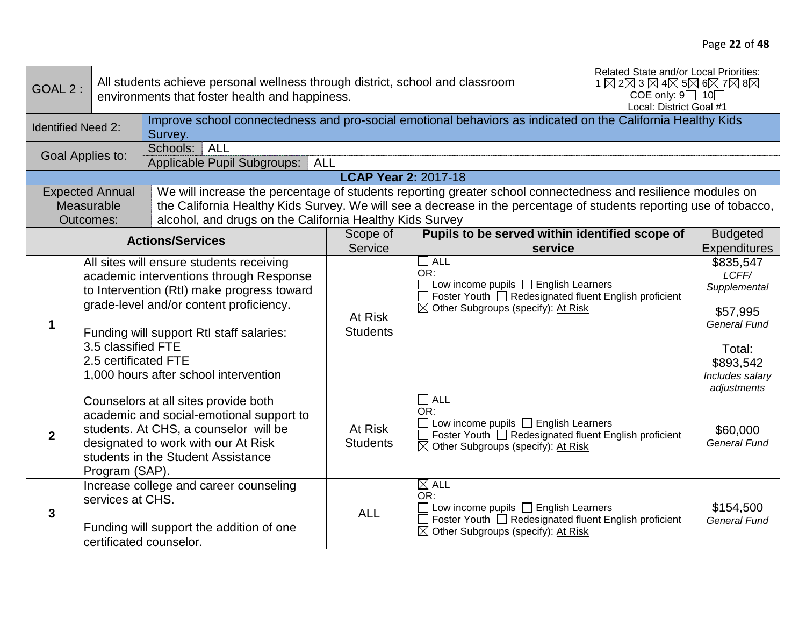| GOAL 2:                   | Related State and/or Local Priorities:<br>All students achieve personal wellness through district, school and classroom<br>1 $\boxtimes$ 2 $\boxtimes$ 3 $\boxtimes$ 4 $\boxtimes$ 5 $\boxtimes$ 6 $\boxtimes$ 7 $\boxtimes$ 8 $\boxtimes$<br>COE only: $9 \square$ 10 $\square$<br>environments that foster health and happiness.<br>Local: District Goal #1 |                                                                                                                                                                                                                                                                                                |                             |                                                                                                                                                                             |  |                                                                                                                                |
|---------------------------|---------------------------------------------------------------------------------------------------------------------------------------------------------------------------------------------------------------------------------------------------------------------------------------------------------------------------------------------------------------|------------------------------------------------------------------------------------------------------------------------------------------------------------------------------------------------------------------------------------------------------------------------------------------------|-----------------------------|-----------------------------------------------------------------------------------------------------------------------------------------------------------------------------|--|--------------------------------------------------------------------------------------------------------------------------------|
| <b>Identified Need 2:</b> |                                                                                                                                                                                                                                                                                                                                                               | Improve school connectedness and pro-social emotional behaviors as indicated on the California Healthy Kids<br>Survey.                                                                                                                                                                         |                             |                                                                                                                                                                             |  |                                                                                                                                |
|                           | Goal Applies to:                                                                                                                                                                                                                                                                                                                                              | Schools: ALL<br>Applicable Pupil Subgroups:<br><b>ALL</b>                                                                                                                                                                                                                                      |                             |                                                                                                                                                                             |  |                                                                                                                                |
|                           |                                                                                                                                                                                                                                                                                                                                                               |                                                                                                                                                                                                                                                                                                | <b>LCAP Year 2: 2017-18</b> |                                                                                                                                                                             |  |                                                                                                                                |
|                           | <b>Expected Annual</b><br>Measurable<br>Outcomes:                                                                                                                                                                                                                                                                                                             | We will increase the percentage of students reporting greater school connectedness and resilience modules on<br>the California Healthy Kids Survey. We will see a decrease in the percentage of students reporting use of tobacco,<br>alcohol, and drugs on the California Healthy Kids Survey |                             |                                                                                                                                                                             |  |                                                                                                                                |
|                           |                                                                                                                                                                                                                                                                                                                                                               | <b>Actions/Services</b>                                                                                                                                                                                                                                                                        | Scope of<br>Service         | Pupils to be served within identified scope of<br>service                                                                                                                   |  | <b>Budgeted</b><br><b>Expenditures</b>                                                                                         |
| $\mathbf 1$               | 3.5 classified FTE<br>2.5 certificated FTE                                                                                                                                                                                                                                                                                                                    | All sites will ensure students receiving<br>academic interventions through Response<br>to Intervention (RtI) make progress toward<br>grade-level and/or content proficiency.<br>Funding will support Rtl staff salaries:<br>1,000 hours after school intervention                              | At Risk<br><b>Students</b>  | $\Box$ ALL<br>OR:<br>$\Box$ Low income pupils $\Box$ English Learners<br>□ Foster Youth □ Redesignated fluent English proficient<br>⊠ Other Subgroups (specify): At Risk    |  | \$835,547<br>LCFF/<br>Supplemental<br>\$57,995<br><b>General Fund</b><br>Total:<br>\$893,542<br>Includes salary<br>adjustments |
| $\overline{2}$            | Counselors at all sites provide both<br>academic and social-emotional support to<br>students. At CHS, a counselor will be<br>designated to work with our At Risk<br>students in the Student Assistance<br>Program (SAP).                                                                                                                                      |                                                                                                                                                                                                                                                                                                | At Risk<br><b>Students</b>  | $\Box$ ALL<br>OR:<br>$\Box$ Low income pupils $\Box$ English Learners<br>□ Foster Youth □ Redesignated fluent English proficient<br>⊠ Other Subgroups (specify): At Risk    |  | \$60,000<br><b>General Fund</b>                                                                                                |
| 3                         | services at CHS.                                                                                                                                                                                                                                                                                                                                              | Increase college and career counseling<br>Funding will support the addition of one<br>certificated counselor.                                                                                                                                                                                  | <b>ALL</b>                  | $\boxtimes$ ALL<br>OR:<br>Low income pupils □ English Learners<br>□ Foster Youth □ Redesignated fluent English proficient<br>$\boxtimes$ Other Subgroups (specify): At Risk |  | \$154,500<br><b>General Fund</b>                                                                                               |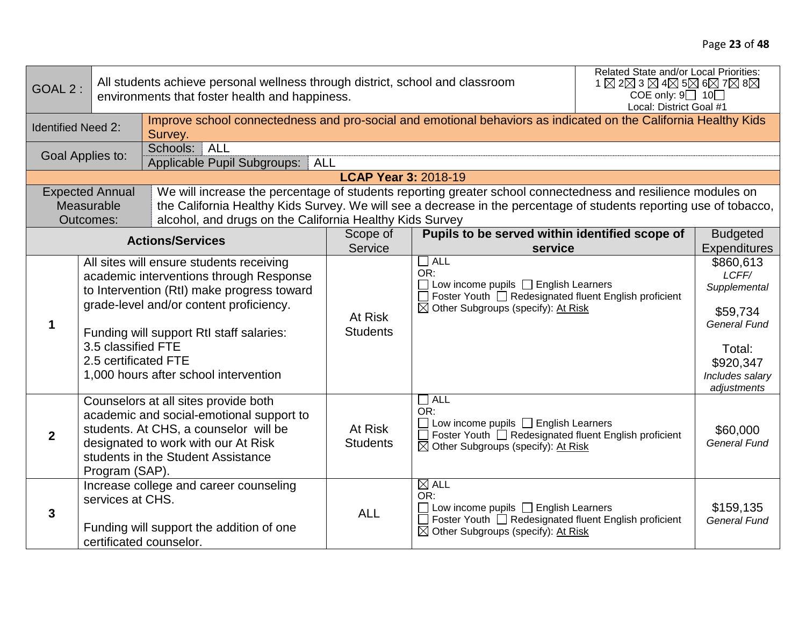| GOAL 2:                   |                                                   | All students achieve personal wellness through district, school and classroom<br>environments that foster health and happiness.                                                                                                                                                                |                             |                                                                                                                                                                                         |  | Related State and/or Local Priorities:<br>1 $\boxtimes$ 2 $\boxtimes$ 3 $\boxtimes$ 4 $\boxtimes$ 5 $\boxtimes$ 6 $\boxtimes$ 7 $\boxtimes$ 8 $\boxtimes$<br>COE only: $9 \square$ 10 $\square$<br>Local: District Goal #1 |
|---------------------------|---------------------------------------------------|------------------------------------------------------------------------------------------------------------------------------------------------------------------------------------------------------------------------------------------------------------------------------------------------|-----------------------------|-----------------------------------------------------------------------------------------------------------------------------------------------------------------------------------------|--|----------------------------------------------------------------------------------------------------------------------------------------------------------------------------------------------------------------------------|
| <b>Identified Need 2:</b> |                                                   | Improve school connectedness and pro-social and emotional behaviors as indicated on the California Healthy Kids<br>Survey.                                                                                                                                                                     |                             |                                                                                                                                                                                         |  |                                                                                                                                                                                                                            |
|                           | Goal Applies to:                                  | Schools: ALL<br>Applicable Pupil Subgroups: ALL                                                                                                                                                                                                                                                |                             |                                                                                                                                                                                         |  |                                                                                                                                                                                                                            |
|                           |                                                   |                                                                                                                                                                                                                                                                                                | <b>LCAP Year 3: 2018-19</b> |                                                                                                                                                                                         |  |                                                                                                                                                                                                                            |
|                           | <b>Expected Annual</b><br>Measurable<br>Outcomes: | We will increase the percentage of students reporting greater school connectedness and resilience modules on<br>the California Healthy Kids Survey. We will see a decrease in the percentage of students reporting use of tobacco,<br>alcohol, and drugs on the California Healthy Kids Survey |                             |                                                                                                                                                                                         |  |                                                                                                                                                                                                                            |
|                           |                                                   | <b>Actions/Services</b>                                                                                                                                                                                                                                                                        | Scope of<br>Service         | Pupils to be served within identified scope of<br>service                                                                                                                               |  | <b>Budgeted</b><br><b>Expenditures</b>                                                                                                                                                                                     |
| $\mathbf 1$               | 3.5 classified FTE<br>2.5 certificated FTE        | All sites will ensure students receiving<br>academic interventions through Response<br>to Intervention (RtI) make progress toward<br>grade-level and/or content proficiency.<br>Funding will support RtI staff salaries:<br>1,000 hours after school intervention                              | At Risk<br><b>Students</b>  | $\Box$ ALL<br>OR:<br>$\Box$ Low income pupils $\Box$ English Learners<br>□ Foster Youth □ Redesignated fluent English proficient<br>⊠ Other Subgroups (specify): At Risk                |  | \$860,613<br>LCFF/<br>Supplemental<br>\$59,734<br><b>General Fund</b><br>Total:<br>\$920,347<br>Includes salary<br>adjustments                                                                                             |
| $\overline{2}$            | Program (SAP).                                    | Counselors at all sites provide both<br>academic and social-emotional support to<br>students. At CHS, a counselor will be<br>designated to work with our At Risk<br>students in the Student Assistance                                                                                         | At Risk<br><b>Students</b>  | $\Box$ ALL<br>OR:<br>$\Box$ Low income pupils $\Box$ English Learners<br>□ Foster Youth □ Redesignated fluent English proficient<br>$\boxtimes$ Other Subgroups (specify): At Risk      |  | \$60,000<br><b>General Fund</b>                                                                                                                                                                                            |
| 3                         | services at CHS.                                  | Increase college and career counseling<br>Funding will support the addition of one<br>certificated counselor.                                                                                                                                                                                  | <b>ALL</b>                  | $\boxtimes$ ALL<br>OR:<br>$\Box$ Low income pupils $\Box$ English Learners<br>□ Foster Youth □ Redesignated fluent English proficient<br>$\boxtimes$ Other Subgroups (specify): At Risk |  | \$159,135<br><b>General Fund</b>                                                                                                                                                                                           |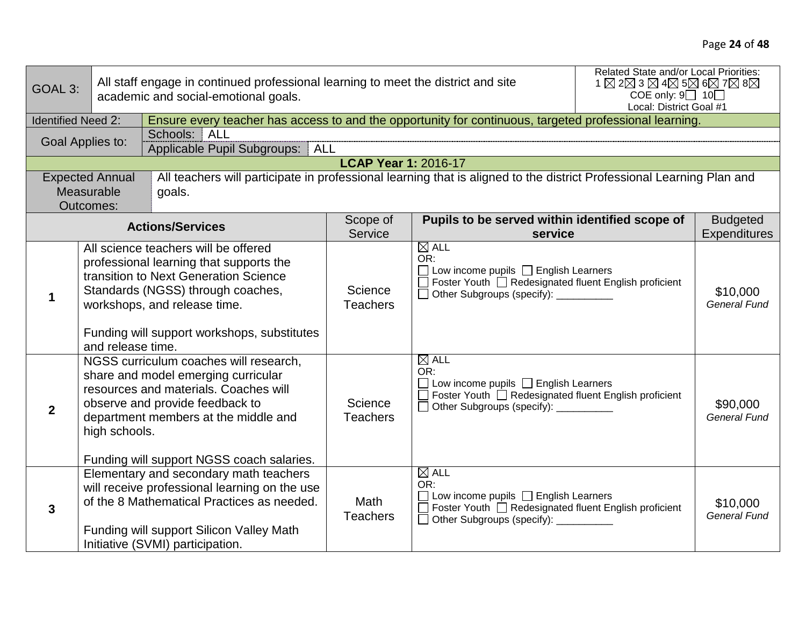| GOAL 3:                   |                                                                                                                                                                                                                                                                 | All staff engage in continued professional learning to meet the district and site<br>academic and social-emotional goals.                                                                                                                    | Related State and/or Local Priorities:<br>1 $\boxtimes$ 2 $\boxtimes$ 3 $\boxtimes$ 4 $\boxtimes$ 5 $\boxtimes$ 6 $\boxtimes$ 7 $\boxtimes$ 8 $\boxtimes$<br>COE only: $9 \square$ 10 $\square$<br>Local: District Goal #1 |                                                                                                                                                                                                   |  |                                        |
|---------------------------|-----------------------------------------------------------------------------------------------------------------------------------------------------------------------------------------------------------------------------------------------------------------|----------------------------------------------------------------------------------------------------------------------------------------------------------------------------------------------------------------------------------------------|----------------------------------------------------------------------------------------------------------------------------------------------------------------------------------------------------------------------------|---------------------------------------------------------------------------------------------------------------------------------------------------------------------------------------------------|--|----------------------------------------|
| <b>Identified Need 2:</b> |                                                                                                                                                                                                                                                                 | Ensure every teacher has access to and the opportunity for continuous, targeted professional learning.                                                                                                                                       |                                                                                                                                                                                                                            |                                                                                                                                                                                                   |  |                                        |
|                           | Goal Applies to:                                                                                                                                                                                                                                                | Schools: ALL<br>Applicable Pupil Subgroups:   ALL                                                                                                                                                                                            |                                                                                                                                                                                                                            |                                                                                                                                                                                                   |  |                                        |
|                           |                                                                                                                                                                                                                                                                 |                                                                                                                                                                                                                                              | <b>LCAP Year 1: 2016-17</b>                                                                                                                                                                                                |                                                                                                                                                                                                   |  |                                        |
|                           | <b>Expected Annual</b><br>Measurable<br>Outcomes:                                                                                                                                                                                                               | All teachers will participate in professional learning that is aligned to the district Professional Learning Plan and<br>goals.                                                                                                              |                                                                                                                                                                                                                            |                                                                                                                                                                                                   |  |                                        |
|                           |                                                                                                                                                                                                                                                                 | <b>Actions/Services</b>                                                                                                                                                                                                                      | Scope of<br>Service                                                                                                                                                                                                        | Pupils to be served within identified scope of<br>service                                                                                                                                         |  | <b>Budgeted</b><br><b>Expenditures</b> |
| 1                         | and release time.                                                                                                                                                                                                                                               | All science teachers will be offered<br>professional learning that supports the<br>transition to Next Generation Science<br>Standards (NGSS) through coaches,<br>workshops, and release time.<br>Funding will support workshops, substitutes | Science<br><b>Teachers</b>                                                                                                                                                                                                 | $\overline{\boxtimes}$ ALL<br>OR:<br>$\Box$ Low income pupils $\Box$ English Learners<br>Foster Youth <b>C</b> Redesignated fluent English proficient<br>□ Other Subgroups (specify): ___________ |  | \$10,000<br><b>General Fund</b>        |
| $\overline{2}$            | NGSS curriculum coaches will research,<br>share and model emerging curricular<br>resources and materials. Coaches will<br>observe and provide feedback to<br>department members at the middle and<br>high schools.<br>Funding will support NGSS coach salaries. |                                                                                                                                                                                                                                              | Science<br><b>Teachers</b>                                                                                                                                                                                                 | $\boxtimes$ ALL<br>OR:<br>$\Box$ Low income pupils $\Box$ English Learners<br>Foster Youth <b>Redesignated fluent English proficient</b><br>□ Other Subgroups (specify): __________               |  | \$90,000<br><b>General Fund</b>        |
| $\mathbf{3}$              |                                                                                                                                                                                                                                                                 | Elementary and secondary math teachers<br>will receive professional learning on the use<br>of the 8 Mathematical Practices as needed.<br>Funding will support Silicon Valley Math<br>Initiative (SVMI) participation.                        | Math<br><b>Teachers</b>                                                                                                                                                                                                    | $\boxtimes$ ALL<br>OR:<br>$\Box$ Low income pupils $\Box$ English Learners<br>$\Box$ Foster Youth $\Box$ Redesignated fluent English proficient<br>Other Subgroups (specify): __________          |  | \$10,000<br><b>General Fund</b>        |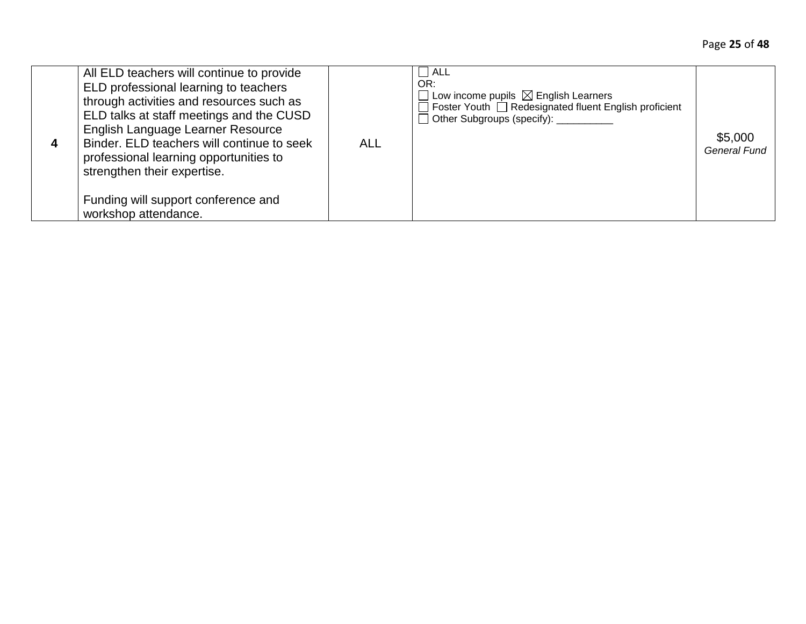| All ELD teachers will continue to provide<br>ELD professional learning to teachers<br>through activities and resources such as<br>ELD talks at staff meetings and the CUSD<br>English Language Learner Resource<br>Binder, ELD teachers will continue to seek<br>professional learning opportunities to<br>strengthen their expertise. | <b>ALL</b> | ALL<br>OR:<br>$\Box$ Low income pupils $\boxtimes$ English Learners<br>□ Foster Youth □ Redesignated fluent English proficient<br>Other Subgroups (specify): __________ | \$5,000<br>General Fund |
|----------------------------------------------------------------------------------------------------------------------------------------------------------------------------------------------------------------------------------------------------------------------------------------------------------------------------------------|------------|-------------------------------------------------------------------------------------------------------------------------------------------------------------------------|-------------------------|
| Funding will support conference and<br>workshop attendance.                                                                                                                                                                                                                                                                            |            |                                                                                                                                                                         |                         |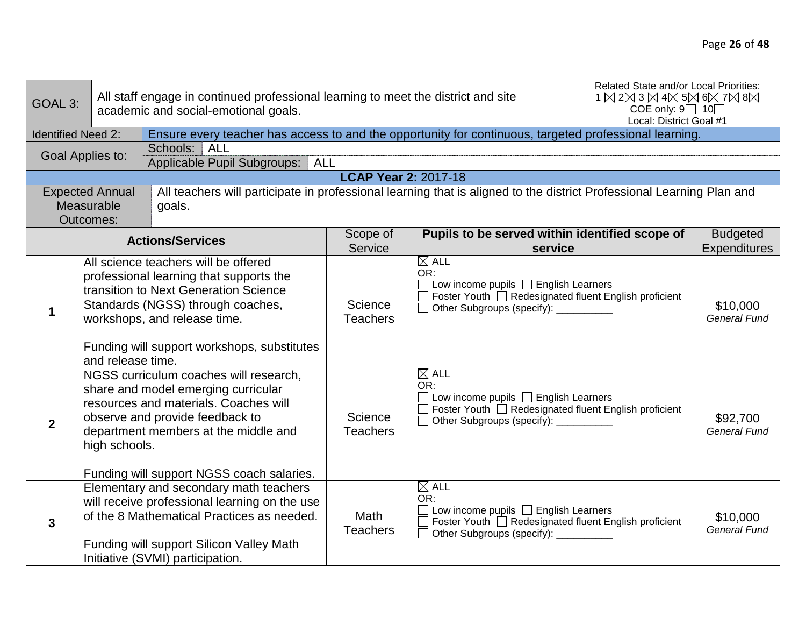| GOAL 3:                   |                                                                                                                                                                                                                                                                 | All staff engage in continued professional learning to meet the district and site<br>academic and social-emotional goals.                                                                                                                    | Related State and/or Local Priorities:<br>1 $\boxtimes$ 2 $\boxtimes$ 3 $\boxtimes$ 4 $\boxtimes$ 5 $\boxtimes$ 6 $\boxtimes$ 7 $\boxtimes$ 8 $\boxtimes$<br>COE only: $9 \square$ 10<br>Local: District Goal #1 |                                                                                                                                                                                  |  |                                        |
|---------------------------|-----------------------------------------------------------------------------------------------------------------------------------------------------------------------------------------------------------------------------------------------------------------|----------------------------------------------------------------------------------------------------------------------------------------------------------------------------------------------------------------------------------------------|------------------------------------------------------------------------------------------------------------------------------------------------------------------------------------------------------------------|----------------------------------------------------------------------------------------------------------------------------------------------------------------------------------|--|----------------------------------------|
| <b>Identified Need 2:</b> |                                                                                                                                                                                                                                                                 | Ensure every teacher has access to and the opportunity for continuous, targeted professional learning.                                                                                                                                       |                                                                                                                                                                                                                  |                                                                                                                                                                                  |  |                                        |
|                           |                                                                                                                                                                                                                                                                 | Schools: ALL                                                                                                                                                                                                                                 |                                                                                                                                                                                                                  |                                                                                                                                                                                  |  |                                        |
|                           | Goal Applies to:                                                                                                                                                                                                                                                | Applicable Pupil Subgroups:<br><b>ALL</b>                                                                                                                                                                                                    |                                                                                                                                                                                                                  |                                                                                                                                                                                  |  |                                        |
|                           |                                                                                                                                                                                                                                                                 |                                                                                                                                                                                                                                              | <b>LCAP Year 2: 2017-18</b>                                                                                                                                                                                      |                                                                                                                                                                                  |  |                                        |
|                           | <b>Expected Annual</b><br>Measurable<br>Outcomes:                                                                                                                                                                                                               | All teachers will participate in professional learning that is aligned to the district Professional Learning Plan and<br>goals.                                                                                                              |                                                                                                                                                                                                                  |                                                                                                                                                                                  |  |                                        |
|                           |                                                                                                                                                                                                                                                                 | <b>Actions/Services</b>                                                                                                                                                                                                                      | Scope of<br>Service                                                                                                                                                                                              | Pupils to be served within identified scope of<br>service                                                                                                                        |  | <b>Budgeted</b><br><b>Expenditures</b> |
| 1                         | and release time.                                                                                                                                                                                                                                               | All science teachers will be offered<br>professional learning that supports the<br>transition to Next Generation Science<br>Standards (NGSS) through coaches,<br>workshops, and release time.<br>Funding will support workshops, substitutes | Science<br><b>Teachers</b>                                                                                                                                                                                       | $\boxtimes$ ALL<br>OR:<br>$\Box$ Low income pupils $\Box$ English Learners<br>Foster Youth □ Redesignated fluent English proficient<br>Other Subgroups (specify): __________     |  | \$10,000<br><b>General Fund</b>        |
| $\overline{2}$            | NGSS curriculum coaches will research,<br>share and model emerging curricular<br>resources and materials. Coaches will<br>observe and provide feedback to<br>department members at the middle and<br>high schools.<br>Funding will support NGSS coach salaries. |                                                                                                                                                                                                                                              | Science<br><b>Teachers</b>                                                                                                                                                                                       | $\boxtimes$ ALL<br>OR:<br>□ Low income pupils □ English Learners<br>□ Foster Youth □ Redesignated fluent English proficient<br>Other Subgroups (specify): ________               |  | \$92,700<br><b>General Fund</b>        |
| $\mathbf{3}$              |                                                                                                                                                                                                                                                                 | Elementary and secondary math teachers<br>will receive professional learning on the use<br>of the 8 Mathematical Practices as needed.<br>Funding will support Silicon Valley Math<br>Initiative (SVMI) participation.                        | Math<br><b>Teachers</b>                                                                                                                                                                                          | $\boxtimes$ ALL<br>OR:<br>$\Box$ Low income pupils $\Box$ English Learners<br>□ Foster Youth □ Redesignated fluent English proficient<br>□ Other Subgroups (specify): __________ |  | \$10,000<br><b>General Fund</b>        |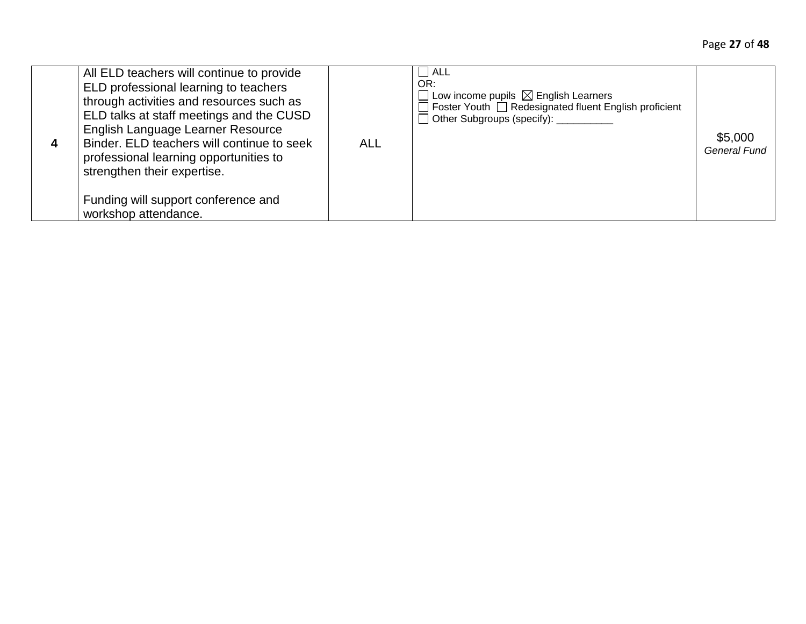| All ELD teachers will continue to provide<br>ELD professional learning to teachers<br>through activities and resources such as<br>ELD talks at staff meetings and the CUSD<br>English Language Learner Resource<br>Binder, ELD teachers will continue to seek<br>professional learning opportunities to<br>strengthen their expertise. | <b>ALL</b> | ALL<br>OR:<br>$\Box$ Low income pupils $\boxtimes$ English Learners<br>□ Foster Youth □ Redesignated fluent English proficient<br>Other Subgroups (specify): __________ | \$5,000<br>General Fund |
|----------------------------------------------------------------------------------------------------------------------------------------------------------------------------------------------------------------------------------------------------------------------------------------------------------------------------------------|------------|-------------------------------------------------------------------------------------------------------------------------------------------------------------------------|-------------------------|
| Funding will support conference and<br>workshop attendance.                                                                                                                                                                                                                                                                            |            |                                                                                                                                                                         |                         |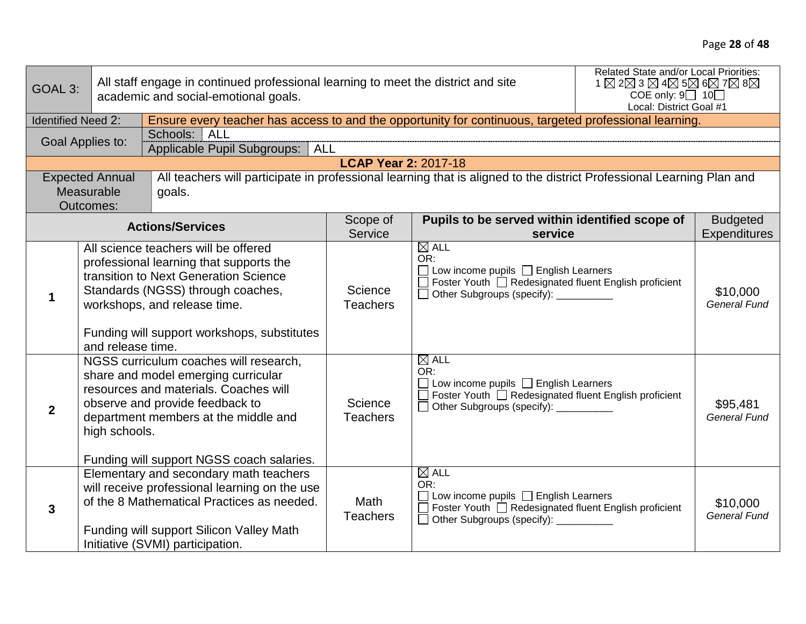| GOAL 3:                   |                                                                                                                                                                                                                                                                 | All staff engage in continued professional learning to meet the district and site<br>academic and social-emotional goals.                                                                                                                    | Related State and/or Local Priorities:<br>1 $\boxtimes$ 2 $\boxtimes$ 3 $\boxtimes$ 4 $\boxtimes$ 5 $\boxtimes$ 6 $\boxtimes$ 7 $\boxtimes$ 8 $\boxtimes$<br>COE only: $9 \square$ 10<br>Local: District Goal #1 |                                                                                                                                                                                 |  |                                        |
|---------------------------|-----------------------------------------------------------------------------------------------------------------------------------------------------------------------------------------------------------------------------------------------------------------|----------------------------------------------------------------------------------------------------------------------------------------------------------------------------------------------------------------------------------------------|------------------------------------------------------------------------------------------------------------------------------------------------------------------------------------------------------------------|---------------------------------------------------------------------------------------------------------------------------------------------------------------------------------|--|----------------------------------------|
| <b>Identified Need 2:</b> |                                                                                                                                                                                                                                                                 | Ensure every teacher has access to and the opportunity for continuous, targeted professional learning.                                                                                                                                       |                                                                                                                                                                                                                  |                                                                                                                                                                                 |  |                                        |
|                           | Goal Applies to:                                                                                                                                                                                                                                                | Schools: ALL<br>Applicable Pupil Subgroups:   ALL                                                                                                                                                                                            |                                                                                                                                                                                                                  |                                                                                                                                                                                 |  |                                        |
|                           |                                                                                                                                                                                                                                                                 |                                                                                                                                                                                                                                              | <b>LCAP Year 2: 2017-18</b>                                                                                                                                                                                      |                                                                                                                                                                                 |  |                                        |
|                           | <b>Expected Annual</b><br>Measurable<br>Outcomes:                                                                                                                                                                                                               | All teachers will participate in professional learning that is aligned to the district Professional Learning Plan and<br>goals.                                                                                                              |                                                                                                                                                                                                                  |                                                                                                                                                                                 |  |                                        |
|                           |                                                                                                                                                                                                                                                                 | <b>Actions/Services</b>                                                                                                                                                                                                                      | Scope of<br>Service                                                                                                                                                                                              | Pupils to be served within identified scope of<br>service                                                                                                                       |  | <b>Budgeted</b><br><b>Expenditures</b> |
| 1                         | and release time.                                                                                                                                                                                                                                               | All science teachers will be offered<br>professional learning that supports the<br>transition to Next Generation Science<br>Standards (NGSS) through coaches,<br>workshops, and release time.<br>Funding will support workshops, substitutes | Science<br><b>Teachers</b>                                                                                                                                                                                       | $\boxtimes$ ALL<br>OR:<br>Low income pupils □ English Learners<br>Foster Youth $\Box$ Redesignated fluent English proficient<br>□ Other Subgroups (specify): __________         |  | \$10,000<br><b>General Fund</b>        |
| $\overline{2}$            | NGSS curriculum coaches will research,<br>share and model emerging curricular<br>resources and materials. Coaches will<br>observe and provide feedback to<br>department members at the middle and<br>high schools.<br>Funding will support NGSS coach salaries. |                                                                                                                                                                                                                                              | Science<br><b>Teachers</b>                                                                                                                                                                                       | $\boxtimes$ ALL<br>OR:<br>$\Box$ Low income pupils $\Box$ English Learners<br>Foster Youth $\Box$ Redesignated fluent English proficient<br>Other Subgroups (specify): ________ |  | \$95,481<br><b>General Fund</b>        |
| $\mathbf{3}$              |                                                                                                                                                                                                                                                                 | Elementary and secondary math teachers<br>will receive professional learning on the use<br>of the 8 Mathematical Practices as needed.<br>Funding will support Silicon Valley Math<br>Initiative (SVMI) participation.                        | <b>Math</b><br><b>Teachers</b>                                                                                                                                                                                   | $\boxtimes$ ALL<br>OR:<br>Low income pupils □ English Learners<br>Foster Youth □ Redesignated fluent English proficient<br>□ Other Subgroups (specify): __________              |  | \$10,000<br><b>General Fund</b>        |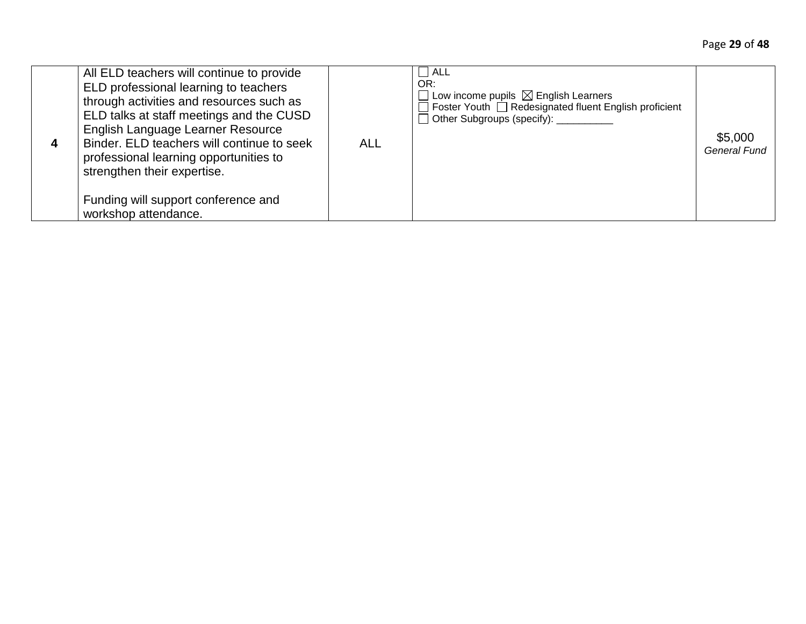| All ELD teachers will continue to provide<br>ELD professional learning to teachers<br>through activities and resources such as<br>ELD talks at staff meetings and the CUSD<br>English Language Learner Resource<br>Binder, ELD teachers will continue to seek<br>professional learning opportunities to<br>strengthen their expertise. | <b>ALL</b> | ALL<br>OR:<br>$\Box$ Low income pupils $\boxtimes$ English Learners<br>□ Foster Youth □ Redesignated fluent English proficient<br>Other Subgroups (specify): __________ | \$5,000<br><b>General Fund</b> |
|----------------------------------------------------------------------------------------------------------------------------------------------------------------------------------------------------------------------------------------------------------------------------------------------------------------------------------------|------------|-------------------------------------------------------------------------------------------------------------------------------------------------------------------------|--------------------------------|
| Funding will support conference and<br>workshop attendance.                                                                                                                                                                                                                                                                            |            |                                                                                                                                                                         |                                |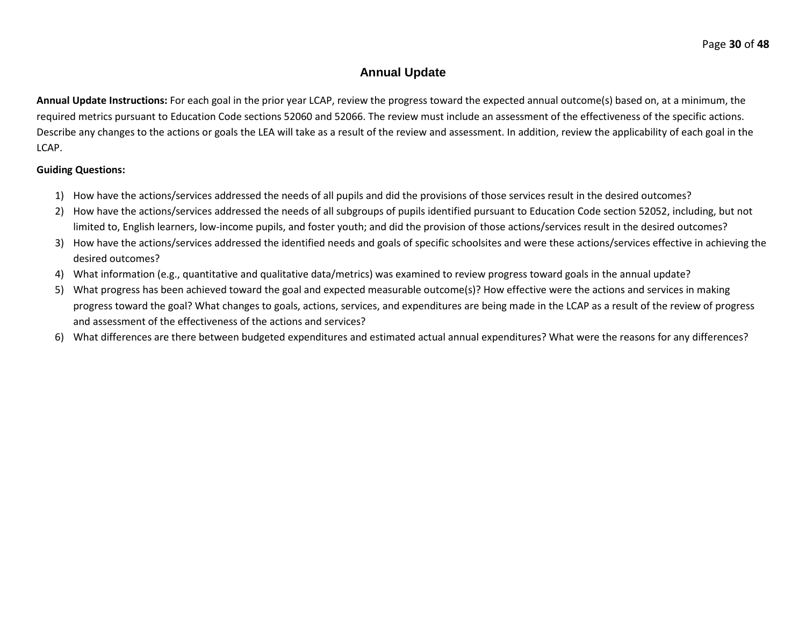# **Annual Update**

**Annual Update Instructions:** For each goal in the prior year LCAP, review the progress toward the expected annual outcome(s) based on, at a minimum, the required metrics pursuant to Education Code sections 52060 and 52066. The review must include an assessment of the effectiveness of the specific actions. Describe any changes to the actions or goals the LEA will take as a result of the review and assessment. In addition, review the applicability of each goal in the LCAP.

### **Guiding Questions:**

- 1) How have the actions/services addressed the needs of all pupils and did the provisions of those services result in the desired outcomes?
- 2) How have the actions/services addressed the needs of all subgroups of pupils identified pursuant to Education Code section 52052, including, but not limited to, English learners, low-income pupils, and foster youth; and did the provision of those actions/services result in the desired outcomes?
- 3) How have the actions/services addressed the identified needs and goals of specific schoolsites and were these actions/services effective in achieving the desired outcomes?
- 4) What information (e.g., quantitative and qualitative data/metrics) was examined to review progress toward goals in the annual update?
- 5) What progress has been achieved toward the goal and expected measurable outcome(s)? How effective were the actions and services in making progress toward the goal? What changes to goals, actions, services, and expenditures are being made in the LCAP as a result of the review of progress and assessment of the effectiveness of the actions and services?
- 6) What differences are there between budgeted expenditures and estimated actual annual expenditures? What were the reasons for any differences?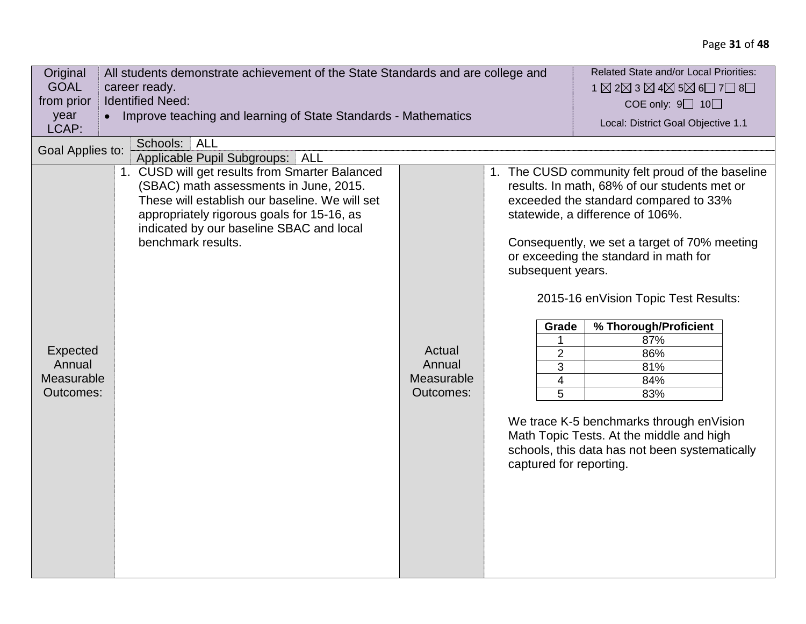| Original<br><b>GOAL</b>                       | Related State and/or Local Priorities:<br>All students demonstrate achievement of the State Standards and are college and<br>$1\boxtimes 2\boxtimes 3\boxtimes 4\boxtimes 5\boxtimes 6\square$ 7 $\square$ 8 $\square$                                     |                                             |                                                                                                                   |                                                                                                                                                                                                                                                                        |  |  |  |
|-----------------------------------------------|------------------------------------------------------------------------------------------------------------------------------------------------------------------------------------------------------------------------------------------------------------|---------------------------------------------|-------------------------------------------------------------------------------------------------------------------|------------------------------------------------------------------------------------------------------------------------------------------------------------------------------------------------------------------------------------------------------------------------|--|--|--|
| from prior                                    | career ready.<br><b>Identified Need:</b><br>COE only: $9 \square 10 \square$                                                                                                                                                                               |                                             |                                                                                                                   |                                                                                                                                                                                                                                                                        |  |  |  |
| year<br>LCAP:                                 | • Improve teaching and learning of State Standards - Mathematics                                                                                                                                                                                           |                                             |                                                                                                                   | Local: District Goal Objective 1.1                                                                                                                                                                                                                                     |  |  |  |
| Goal Applies to:                              | Schools: ALL<br>Applicable Pupil Subgroups: ALL                                                                                                                                                                                                            |                                             |                                                                                                                   |                                                                                                                                                                                                                                                                        |  |  |  |
|                                               | 1. CUSD will get results from Smarter Balanced<br>(SBAC) math assessments in June, 2015.<br>These will establish our baseline. We will set<br>appropriately rigorous goals for 15-16, as<br>indicated by our baseline SBAC and local<br>benchmark results. |                                             |                                                                                                                   | 1. The CUSD community felt proud of the baseline<br>results. In math, 68% of our students met or<br>exceeded the standard compared to 33%<br>statewide, a difference of 106%.<br>Consequently, we set a target of 70% meeting<br>or exceeding the standard in math for |  |  |  |
| Expected<br>Annual<br>Measurable<br>Outcomes: |                                                                                                                                                                                                                                                            | Actual<br>Annual<br>Measurable<br>Outcomes: | subsequent years.<br>Grade<br>1<br>$\overline{2}$<br>3<br>$\overline{\mathbf{4}}$<br>5<br>captured for reporting. | 2015-16 enVision Topic Test Results:<br>% Thorough/Proficient<br>87%<br>86%<br>81%<br>84%<br>83%<br>We trace K-5 benchmarks through enVision<br>Math Topic Tests. At the middle and high<br>schools, this data has not been systematically                             |  |  |  |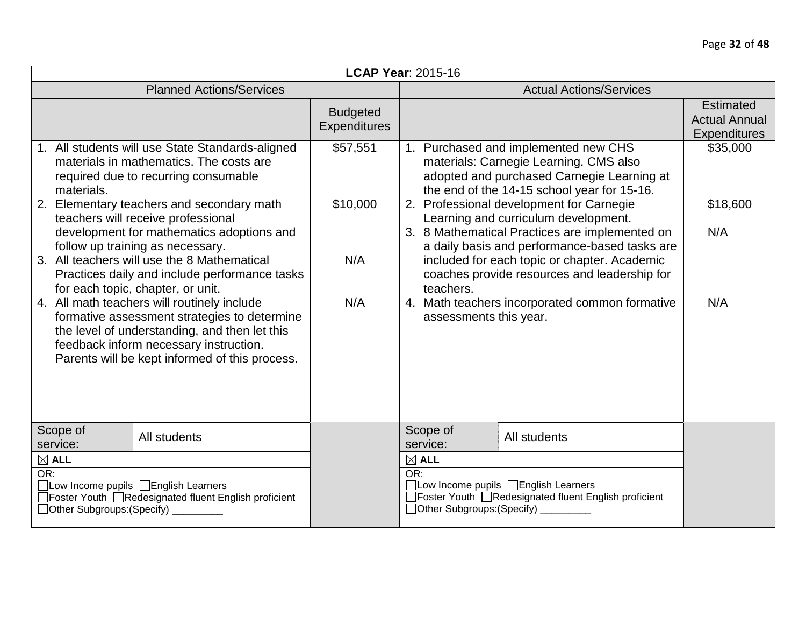| <b>LCAP Year: 2015-16</b>                                                                                                                                                                                                                                                                                                                                                                                                                                                                                                                                                                                                                                                                              |                                 |                                                                              |                                                                                                                                                                                                                                                                                                                                                                                                                                                                                                                                                             |                                                 |                                                                                                       |  |
|--------------------------------------------------------------------------------------------------------------------------------------------------------------------------------------------------------------------------------------------------------------------------------------------------------------------------------------------------------------------------------------------------------------------------------------------------------------------------------------------------------------------------------------------------------------------------------------------------------------------------------------------------------------------------------------------------------|---------------------------------|------------------------------------------------------------------------------|-------------------------------------------------------------------------------------------------------------------------------------------------------------------------------------------------------------------------------------------------------------------------------------------------------------------------------------------------------------------------------------------------------------------------------------------------------------------------------------------------------------------------------------------------------------|-------------------------------------------------|-------------------------------------------------------------------------------------------------------|--|
|                                                                                                                                                                                                                                                                                                                                                                                                                                                                                                                                                                                                                                                                                                        | <b>Planned Actions/Services</b> |                                                                              |                                                                                                                                                                                                                                                                                                                                                                                                                                                                                                                                                             |                                                 | <b>Actual Actions/Services</b>                                                                        |  |
| 1. All students will use State Standards-aligned<br>materials in mathematics. The costs are<br>required due to recurring consumable<br>materials.<br>2. Elementary teachers and secondary math<br>teachers will receive professional<br>development for mathematics adoptions and<br>follow up training as necessary.<br>3. All teachers will use the 8 Mathematical<br>Practices daily and include performance tasks<br>for each topic, chapter, or unit.<br>4. All math teachers will routinely include<br>formative assessment strategies to determine<br>the level of understanding, and then let this<br>feedback inform necessary instruction.<br>Parents will be kept informed of this process. |                                 | <b>Budgeted</b><br><b>Expenditures</b><br>\$57,551<br>\$10,000<br>N/A<br>N/A | 1. Purchased and implemented new CHS<br>materials: Carnegie Learning. CMS also<br>adopted and purchased Carnegie Learning at<br>the end of the 14-15 school year for 15-16.<br>2. Professional development for Carnegie<br>Learning and curriculum development.<br>3. 8 Mathematical Practices are implemented on<br>a daily basis and performance-based tasks are<br>included for each topic or chapter. Academic<br>coaches provide resources and leadership for<br>teachers.<br>4. Math teachers incorporated common formative<br>assessments this year. |                                                 | <b>Estimated</b><br><b>Actual Annual</b><br><b>Expenditures</b><br>\$35,000<br>\$18,600<br>N/A<br>N/A |  |
| Scope of<br>All students<br>service:                                                                                                                                                                                                                                                                                                                                                                                                                                                                                                                                                                                                                                                                   |                                 |                                                                              |                                                                                                                                                                                                                                                                                                                                                                                                                                                                                                                                                             | Scope of<br>service:                            | All students                                                                                          |  |
| $\boxtimes$ ALL<br>OR:<br>□Low Income pupils □English Learners<br>□Foster Youth □Redesignated fluent English proficient<br>□Other Subgroups:(Specify)                                                                                                                                                                                                                                                                                                                                                                                                                                                                                                                                                  |                                 |                                                                              | OR:                                                                                                                                                                                                                                                                                                                                                                                                                                                                                                                                                         | $\boxtimes$ ALL<br>□ Other Subgroups: (Specify) | □Low Income pupils □English Learners<br>□Foster Youth □Redesignated fluent English proficient         |  |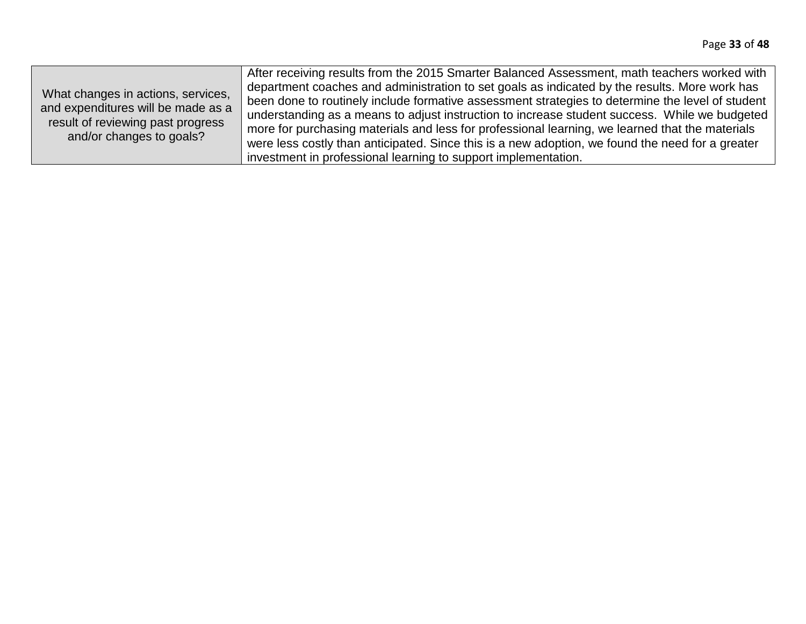|                                    | After receiving results from the 2015 Smarter Balanced Assessment, math teachers worked with     |
|------------------------------------|--------------------------------------------------------------------------------------------------|
| What changes in actions, services, | department coaches and administration to set goals as indicated by the results. More work has    |
| and expenditures will be made as a | been done to routinely include formative assessment strategies to determine the level of student |
|                                    | understanding as a means to adjust instruction to increase student success. While we budgeted    |
| result of reviewing past progress  | more for purchasing materials and less for professional learning, we learned that the materials  |
| and/or changes to goals?           | were less costly than anticipated. Since this is a new adoption, we found the need for a greater |
|                                    | investment in professional learning to support implementation.                                   |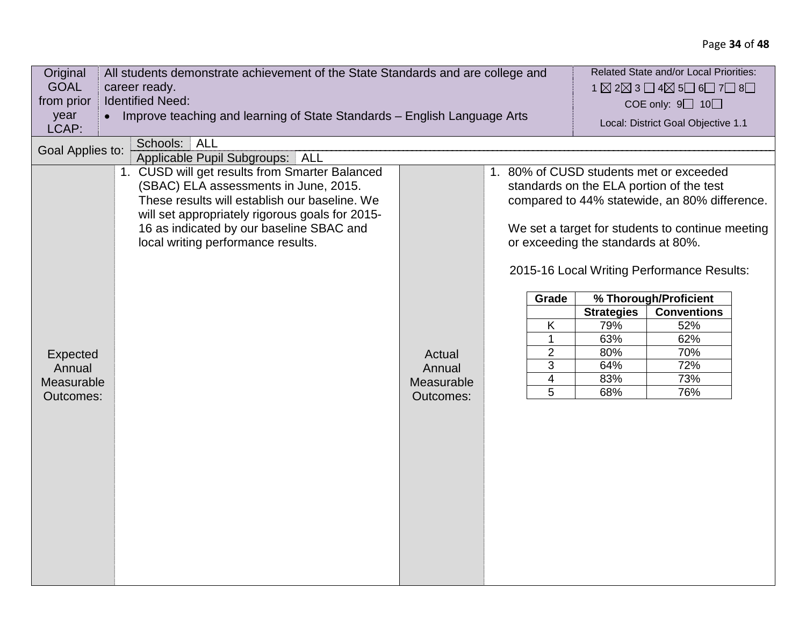| Original         | All students demonstrate achievement of the State Standards and are college and                          |            |  |                         |                                    | <b>Related State and/or Local Priorities:</b>    |  |
|------------------|----------------------------------------------------------------------------------------------------------|------------|--|-------------------------|------------------------------------|--------------------------------------------------|--|
| <b>GOAL</b>      | career ready.<br>$1 \boxtimes 2 \boxtimes 3 \square 4 \boxtimes 5 \square 6 \square 7 \square 8 \square$ |            |  |                         |                                    |                                                  |  |
| from prior       | <b>Identified Need:</b>                                                                                  |            |  |                         |                                    | COE only: $9 \square$ 10 $\square$               |  |
| year<br>LCAP:    | Improve teaching and learning of State Standards - English Language Arts<br>$\bullet$                    |            |  |                         |                                    | Local: District Goal Objective 1.1               |  |
| Goal Applies to: | Schools: ALL                                                                                             |            |  |                         |                                    |                                                  |  |
|                  | Applicable Pupil Subgroups: ALL                                                                          |            |  |                         |                                    |                                                  |  |
|                  | 1. CUSD will get results from Smarter Balanced                                                           |            |  |                         |                                    | 1. 80% of CUSD students met or exceeded          |  |
|                  | (SBAC) ELA assessments in June, 2015.                                                                    |            |  |                         |                                    | standards on the ELA portion of the test         |  |
|                  | These results will establish our baseline. We                                                            |            |  |                         |                                    | compared to 44% statewide, an 80% difference.    |  |
|                  | will set appropriately rigorous goals for 2015-                                                          |            |  |                         |                                    |                                                  |  |
|                  | 16 as indicated by our baseline SBAC and                                                                 |            |  |                         |                                    | We set a target for students to continue meeting |  |
|                  | local writing performance results.                                                                       |            |  |                         | or exceeding the standards at 80%. |                                                  |  |
|                  |                                                                                                          |            |  |                         |                                    |                                                  |  |
|                  |                                                                                                          |            |  |                         |                                    | 2015-16 Local Writing Performance Results:       |  |
|                  |                                                                                                          |            |  | Grade                   |                                    | % Thorough/Proficient                            |  |
|                  |                                                                                                          |            |  |                         | <b>Strategies</b>                  | <b>Conventions</b>                               |  |
|                  |                                                                                                          |            |  | K                       | 79%                                | 52%                                              |  |
|                  |                                                                                                          |            |  | $\mathbf 1$             | 63%                                | 62%                                              |  |
| <b>Expected</b>  |                                                                                                          | Actual     |  | $\overline{\mathbf{c}}$ | 80%                                | 70%                                              |  |
| Annual           |                                                                                                          | Annual     |  | 3                       | 64%                                | 72%                                              |  |
| Measurable       |                                                                                                          | Measurable |  | $\overline{4}$          | 83%                                | 73%                                              |  |
| Outcomes:        |                                                                                                          | Outcomes:  |  | $\overline{5}$          | 68%                                | 76%                                              |  |
|                  |                                                                                                          |            |  |                         |                                    |                                                  |  |
|                  |                                                                                                          |            |  |                         |                                    |                                                  |  |
|                  |                                                                                                          |            |  |                         |                                    |                                                  |  |
|                  |                                                                                                          |            |  |                         |                                    |                                                  |  |
|                  |                                                                                                          |            |  |                         |                                    |                                                  |  |
|                  |                                                                                                          |            |  |                         |                                    |                                                  |  |
|                  |                                                                                                          |            |  |                         |                                    |                                                  |  |
|                  |                                                                                                          |            |  |                         |                                    |                                                  |  |
|                  |                                                                                                          |            |  |                         |                                    |                                                  |  |
|                  |                                                                                                          |            |  |                         |                                    |                                                  |  |
|                  |                                                                                                          |            |  |                         |                                    |                                                  |  |
|                  |                                                                                                          |            |  |                         |                                    |                                                  |  |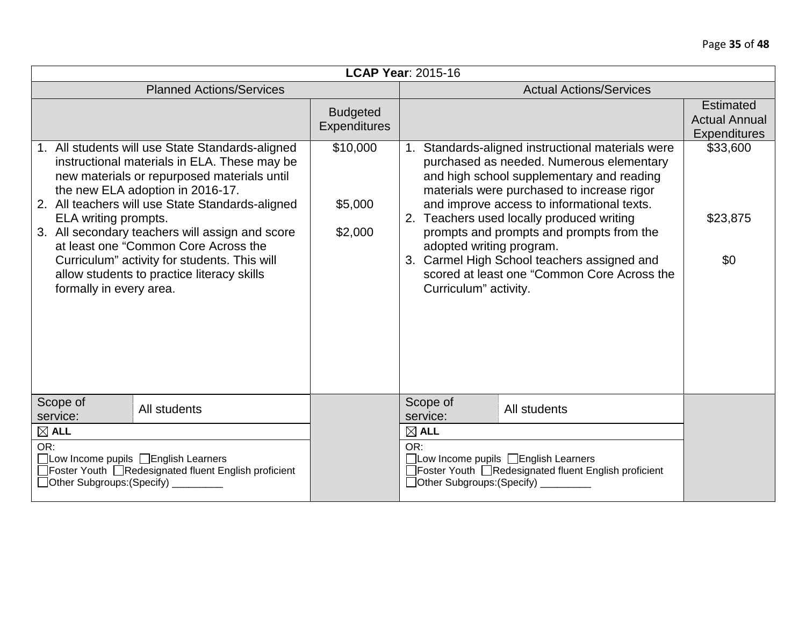| <b>LCAP Year: 2015-16</b>                                                                                                              |                                                                                                                                                                                                                                                                                                                                                                                                                                                                                                          |                                                                                                                                                 |                                   |                                                                                               |                                                                 |  |
|----------------------------------------------------------------------------------------------------------------------------------------|----------------------------------------------------------------------------------------------------------------------------------------------------------------------------------------------------------------------------------------------------------------------------------------------------------------------------------------------------------------------------------------------------------------------------------------------------------------------------------------------------------|-------------------------------------------------------------------------------------------------------------------------------------------------|-----------------------------------|-----------------------------------------------------------------------------------------------|-----------------------------------------------------------------|--|
|                                                                                                                                        | <b>Planned Actions/Services</b>                                                                                                                                                                                                                                                                                                                                                                                                                                                                          |                                                                                                                                                 | <b>Actual Actions/Services</b>    |                                                                                               |                                                                 |  |
|                                                                                                                                        |                                                                                                                                                                                                                                                                                                                                                                                                                                                                                                          | <b>Budgeted</b><br><b>Expenditures</b>                                                                                                          |                                   |                                                                                               | <b>Estimated</b><br><b>Actual Annual</b><br><b>Expenditures</b> |  |
|                                                                                                                                        | 1. All students will use State Standards-aligned<br>\$10,000<br>1. Standards-aligned instructional materials were<br>instructional materials in ELA. These may be<br>purchased as needed. Numerous elementary<br>and high school supplementary and reading<br>new materials or repurposed materials until<br>the new ELA adoption in 2016-17.<br>materials were purchased to increase rigor<br>2. All teachers will use State Standards-aligned<br>\$5,000<br>and improve access to informational texts. |                                                                                                                                                 |                                   |                                                                                               | \$33,600                                                        |  |
| ELA writing prompts.                                                                                                                   | 3. All secondary teachers will assign and score<br>at least one "Common Core Across the                                                                                                                                                                                                                                                                                                                                                                                                                  | \$2,000                                                                                                                                         |                                   | 2. Teachers used locally produced writing<br>prompts and prompts and prompts from the         | \$23,875                                                        |  |
| formally in every area.                                                                                                                | Curriculum" activity for students. This will<br>allow students to practice literacy skills                                                                                                                                                                                                                                                                                                                                                                                                               | adopted writing program.<br>3. Carmel High School teachers assigned and<br>scored at least one "Common Core Across the<br>Curriculum" activity. |                                   | \$0                                                                                           |                                                                 |  |
| Scope of<br>service:                                                                                                                   | All students                                                                                                                                                                                                                                                                                                                                                                                                                                                                                             |                                                                                                                                                 | Scope of<br>service:              | All students                                                                                  |                                                                 |  |
| $\boxtimes$ ALL                                                                                                                        |                                                                                                                                                                                                                                                                                                                                                                                                                                                                                                          |                                                                                                                                                 | $\boxtimes$ ALL                   |                                                                                               |                                                                 |  |
| OR:<br>□Low Income pupils □English Learners<br>□Foster Youth □Redesignated fluent English proficient<br>□ Other Subgroups: (Specify) _ |                                                                                                                                                                                                                                                                                                                                                                                                                                                                                                          |                                                                                                                                                 | OR:<br>□Other Subgroups:(Specify) | □Low Income pupils □English Learners<br>□Foster Youth □Redesignated fluent English proficient |                                                                 |  |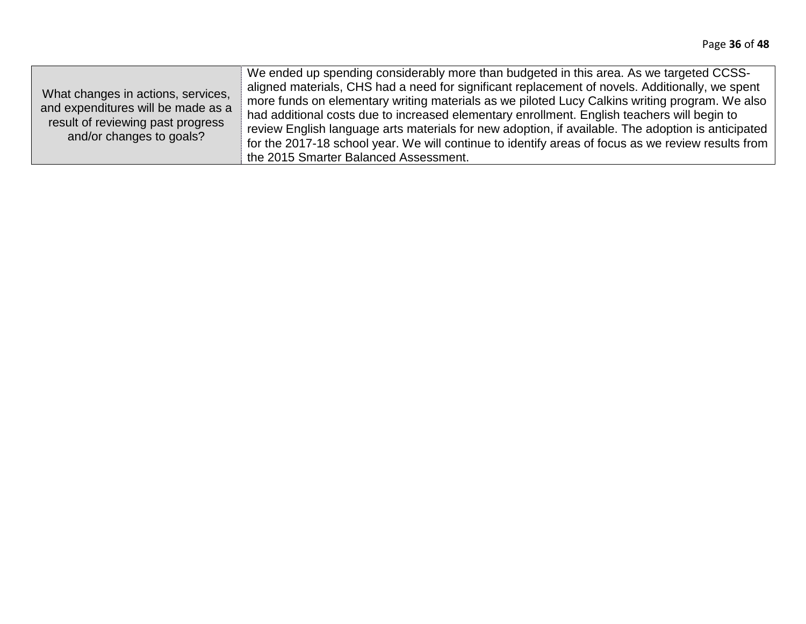|                                    | We ended up spending considerably more than budgeted in this area. As we targeted CCSS-            |
|------------------------------------|----------------------------------------------------------------------------------------------------|
| What changes in actions, services, | aligned materials, CHS had a need for significant replacement of novels. Additionally, we spent    |
| and expenditures will be made as a | more funds on elementary writing materials as we piloted Lucy Calkins writing program. We also     |
| result of reviewing past progress  | had additional costs due to increased elementary enrollment. English teachers will begin to        |
| and/or changes to goals?           | review English language arts materials for new adoption, if available. The adoption is anticipated |
|                                    | for the 2017-18 school year. We will continue to identify areas of focus as we review results from |
|                                    | the 2015 Smarter Balanced Assessment.                                                              |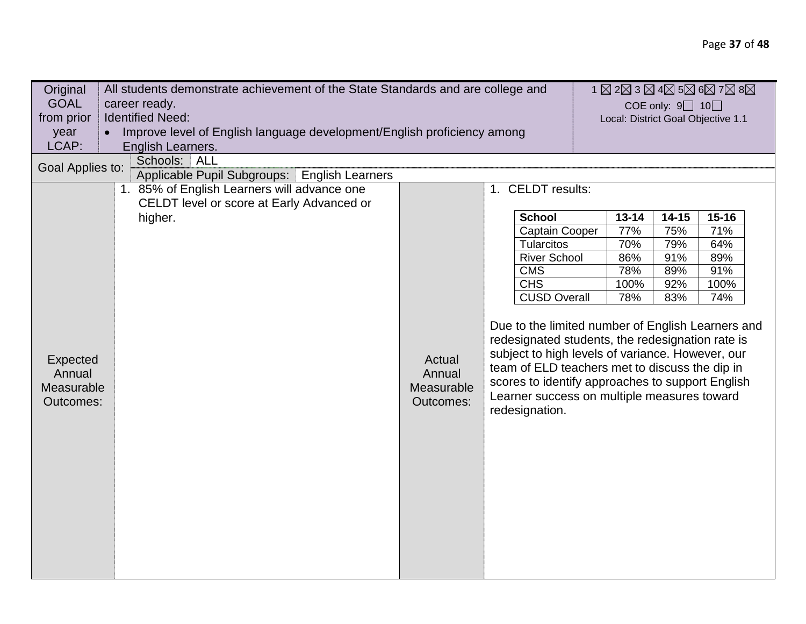| Original<br><b>GOAL</b><br>from prior<br>year<br>LCAP: | All students demonstrate achievement of the State Standards and are college and<br>career ready.<br><b>Identified Need:</b><br>Improve level of English language development/English proficiency among<br>English Learners. |                                             | COE only: $9 \square$ 10 $\square$<br>Local: District Goal Objective 1.1                                                                                                                                                                                                                                                         | $1\boxtimes 2\boxtimes 3\boxtimes 4\boxtimes 5\boxtimes 6\boxtimes 7\boxtimes 8\boxtimes$ |           |           |  |
|--------------------------------------------------------|-----------------------------------------------------------------------------------------------------------------------------------------------------------------------------------------------------------------------------|---------------------------------------------|----------------------------------------------------------------------------------------------------------------------------------------------------------------------------------------------------------------------------------------------------------------------------------------------------------------------------------|-------------------------------------------------------------------------------------------|-----------|-----------|--|
| Goal Applies to:                                       | Schools: ALL<br>Applicable Pupil Subgroups:   English Learners                                                                                                                                                              |                                             |                                                                                                                                                                                                                                                                                                                                  |                                                                                           |           |           |  |
|                                                        | 1. 85% of English Learners will advance one<br>CELDT level or score at Early Advanced or                                                                                                                                    |                                             | 1. CELDT results:                                                                                                                                                                                                                                                                                                                |                                                                                           |           |           |  |
|                                                        | higher.                                                                                                                                                                                                                     |                                             | <b>School</b>                                                                                                                                                                                                                                                                                                                    | $13 - 14$                                                                                 | $14 - 15$ | $15 - 16$ |  |
|                                                        |                                                                                                                                                                                                                             |                                             | <b>Captain Cooper</b>                                                                                                                                                                                                                                                                                                            | 77%                                                                                       | 75%       | 71%       |  |
|                                                        |                                                                                                                                                                                                                             |                                             | <b>Tularcitos</b>                                                                                                                                                                                                                                                                                                                | 70%                                                                                       | 79%       | 64%       |  |
|                                                        |                                                                                                                                                                                                                             |                                             | <b>River School</b>                                                                                                                                                                                                                                                                                                              | 86%                                                                                       | 91%       | 89%       |  |
|                                                        |                                                                                                                                                                                                                             |                                             | <b>CMS</b>                                                                                                                                                                                                                                                                                                                       | 78%                                                                                       | 89%       | 91%       |  |
|                                                        |                                                                                                                                                                                                                             |                                             | <b>CHS</b>                                                                                                                                                                                                                                                                                                                       | 100%                                                                                      | 92%       | 100%      |  |
|                                                        |                                                                                                                                                                                                                             |                                             | <b>CUSD Overall</b>                                                                                                                                                                                                                                                                                                              | 78%                                                                                       | 83%       | 74%       |  |
| Expected<br>Annual<br>Measurable<br><b>Outcomes:</b>   |                                                                                                                                                                                                                             | Actual<br>Annual<br>Measurable<br>Outcomes: | Due to the limited number of English Learners and<br>redesignated students, the redesignation rate is<br>subject to high levels of variance. However, our<br>team of ELD teachers met to discuss the dip in<br>scores to identify approaches to support English<br>Learner success on multiple measures toward<br>redesignation. |                                                                                           |           |           |  |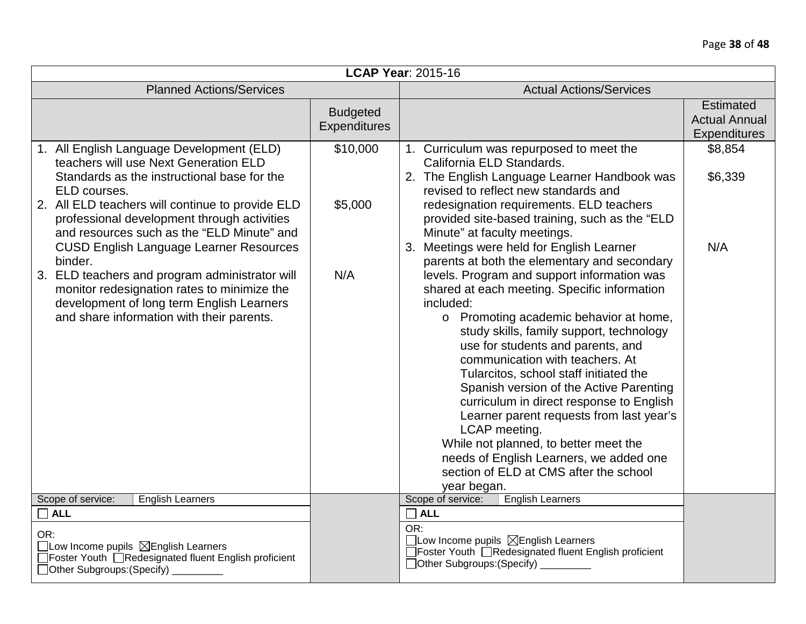| <b>LCAP Year: 2015-16</b>                                                                                                                                                                                                                                                                                                                            |                                        |                                                                                                                                                                                                                                                                                                                                                                                                                                                                                                                                                                                                                                                                   |                                                                 |  |
|------------------------------------------------------------------------------------------------------------------------------------------------------------------------------------------------------------------------------------------------------------------------------------------------------------------------------------------------------|----------------------------------------|-------------------------------------------------------------------------------------------------------------------------------------------------------------------------------------------------------------------------------------------------------------------------------------------------------------------------------------------------------------------------------------------------------------------------------------------------------------------------------------------------------------------------------------------------------------------------------------------------------------------------------------------------------------------|-----------------------------------------------------------------|--|
| <b>Planned Actions/Services</b>                                                                                                                                                                                                                                                                                                                      |                                        | <b>Actual Actions/Services</b>                                                                                                                                                                                                                                                                                                                                                                                                                                                                                                                                                                                                                                    |                                                                 |  |
|                                                                                                                                                                                                                                                                                                                                                      | <b>Budgeted</b><br><b>Expenditures</b> |                                                                                                                                                                                                                                                                                                                                                                                                                                                                                                                                                                                                                                                                   | <b>Estimated</b><br><b>Actual Annual</b><br><b>Expenditures</b> |  |
| 1. All English Language Development (ELD)<br>teachers will use Next Generation ELD<br>Standards as the instructional base for the<br>ELD courses.<br>2. All ELD teachers will continue to provide ELD<br>professional development through activities<br>and resources such as the "ELD Minute" and<br><b>CUSD English Language Learner Resources</b> | \$10,000<br>\$5,000                    | 1. Curriculum was repurposed to meet the<br>California ELD Standards.<br>2. The English Language Learner Handbook was<br>revised to reflect new standards and<br>redesignation requirements. ELD teachers<br>provided site-based training, such as the "ELD<br>Minute" at faculty meetings.<br>3. Meetings were held for English Learner                                                                                                                                                                                                                                                                                                                          | \$8,854<br>\$6,339<br>N/A                                       |  |
| binder.<br>3. ELD teachers and program administrator will<br>monitor redesignation rates to minimize the<br>development of long term English Learners<br>and share information with their parents.                                                                                                                                                   | N/A                                    | parents at both the elementary and secondary<br>levels. Program and support information was<br>shared at each meeting. Specific information<br>included:<br>o Promoting academic behavior at home,<br>study skills, family support, technology<br>use for students and parents, and<br>communication with teachers. At<br>Tularcitos, school staff initiated the<br>Spanish version of the Active Parenting<br>curriculum in direct response to English<br>Learner parent requests from last year's<br>LCAP meeting.<br>While not planned, to better meet the<br>needs of English Learners, we added one<br>section of ELD at CMS after the school<br>year began. |                                                                 |  |
| Scope of service:<br><b>English Learners</b><br>$\Box$ ALL                                                                                                                                                                                                                                                                                           |                                        | Scope of service:<br><b>English Learners</b><br>$\Box$ ALL                                                                                                                                                                                                                                                                                                                                                                                                                                                                                                                                                                                                        |                                                                 |  |
| OR:<br>$\Box$ Low Income pupils $\boxtimes$ English Learners<br>□Foster Youth □Redesignated fluent English proficient<br>□Other Subgroups:(Specify)                                                                                                                                                                                                  |                                        | OR:<br>□Low Income pupils ⊠English Learners<br>□Foster Youth □Redesignated fluent English proficient<br>□Other Subgroups: (Specify) __                                                                                                                                                                                                                                                                                                                                                                                                                                                                                                                            |                                                                 |  |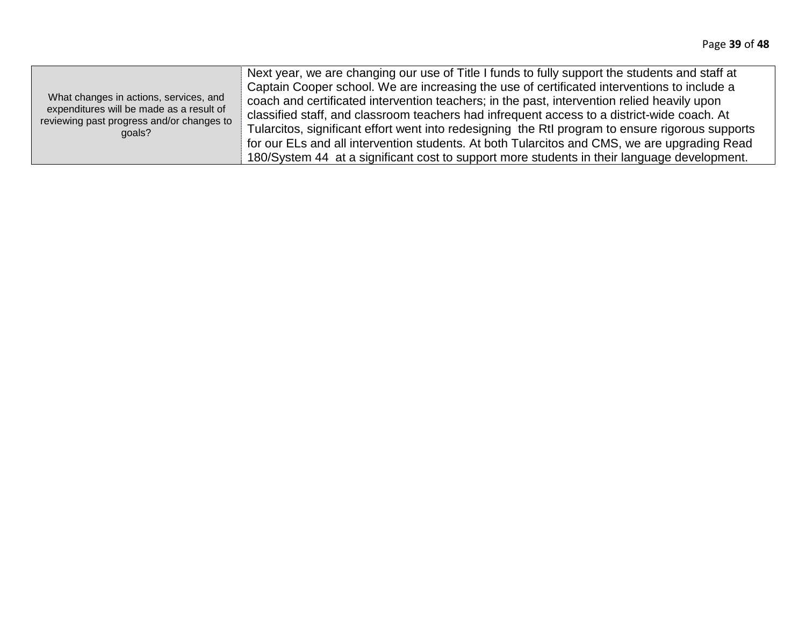| What changes in actions, services, and<br>expenditures will be made as a result of<br>reviewing past progress and/or changes to<br>goals? | Next year, we are changing our use of Title I funds to fully support the students and staff at<br>Captain Cooper school. We are increasing the use of certificated interventions to include a<br>coach and certificated intervention teachers; in the past, intervention relied heavily upon<br>classified staff, and classroom teachers had infrequent access to a district-wide coach. At<br>Tularcitos, significant effort went into redesigning the RtI program to ensure rigorous supports<br>for our ELs and all intervention students. At both Tularcitos and CMS, we are upgrading Read |
|-------------------------------------------------------------------------------------------------------------------------------------------|-------------------------------------------------------------------------------------------------------------------------------------------------------------------------------------------------------------------------------------------------------------------------------------------------------------------------------------------------------------------------------------------------------------------------------------------------------------------------------------------------------------------------------------------------------------------------------------------------|
|                                                                                                                                           | 180/System 44 at a significant cost to support more students in their language development.                                                                                                                                                                                                                                                                                                                                                                                                                                                                                                     |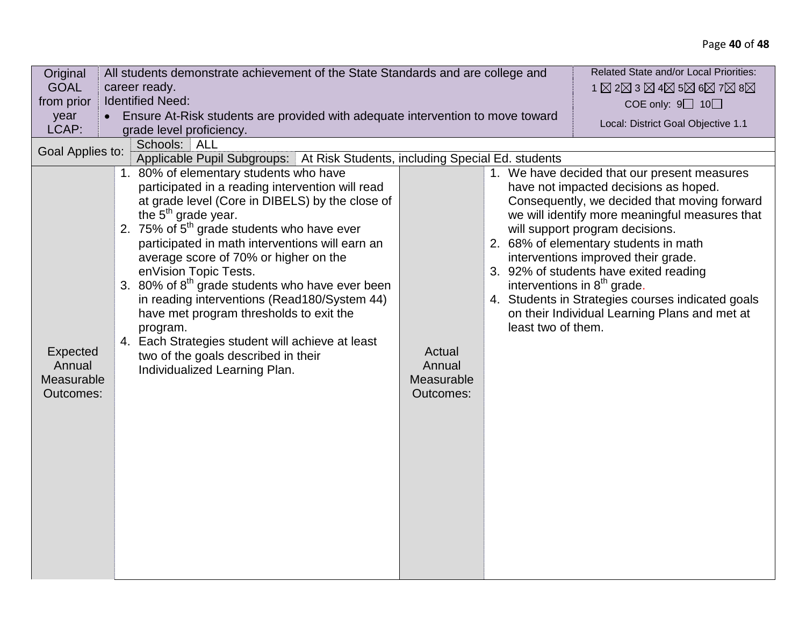| Original                                             | Related State and/or Local Priorities:<br>All students demonstrate achievement of the State Standards and are college and                                                                                                                                                                                                                                                                                                                                                                                                                                                                                                           |                                             |                    |                                                                                                                                                                                                                                                                                                                                                                                                                                                                                                       |  |  |  |
|------------------------------------------------------|-------------------------------------------------------------------------------------------------------------------------------------------------------------------------------------------------------------------------------------------------------------------------------------------------------------------------------------------------------------------------------------------------------------------------------------------------------------------------------------------------------------------------------------------------------------------------------------------------------------------------------------|---------------------------------------------|--------------------|-------------------------------------------------------------------------------------------------------------------------------------------------------------------------------------------------------------------------------------------------------------------------------------------------------------------------------------------------------------------------------------------------------------------------------------------------------------------------------------------------------|--|--|--|
| <b>GOAL</b>                                          | career ready.<br>1 $\boxtimes$ 2 $\boxtimes$ 3 $\boxtimes$ 4 $\boxtimes$ 5 $\boxtimes$ 6 $\boxtimes$ 7 $\boxtimes$ 8 $\boxtimes$                                                                                                                                                                                                                                                                                                                                                                                                                                                                                                    |                                             |                    |                                                                                                                                                                                                                                                                                                                                                                                                                                                                                                       |  |  |  |
| from prior                                           | <b>Identified Need:</b><br>COE only: $9 \square$ 10 $\square$                                                                                                                                                                                                                                                                                                                                                                                                                                                                                                                                                                       |                                             |                    |                                                                                                                                                                                                                                                                                                                                                                                                                                                                                                       |  |  |  |
| year<br>LCAP:                                        | Ensure At-Risk students are provided with adequate intervention to move toward<br>Local: District Goal Objective 1.1<br>grade level proficiency.                                                                                                                                                                                                                                                                                                                                                                                                                                                                                    |                                             |                    |                                                                                                                                                                                                                                                                                                                                                                                                                                                                                                       |  |  |  |
| Goal Applies to:                                     | Schools: ALL                                                                                                                                                                                                                                                                                                                                                                                                                                                                                                                                                                                                                        |                                             |                    |                                                                                                                                                                                                                                                                                                                                                                                                                                                                                                       |  |  |  |
|                                                      | Applicable Pupil Subgroups:   At Risk Students, including Special Ed. students                                                                                                                                                                                                                                                                                                                                                                                                                                                                                                                                                      |                                             |                    |                                                                                                                                                                                                                                                                                                                                                                                                                                                                                                       |  |  |  |
| <b>Expected</b><br>Annual<br>Measurable<br>Outcomes: | 1. 80% of elementary students who have<br>participated in a reading intervention will read<br>at grade level (Core in DIBELS) by the close of<br>the $5th$ grade year.<br>2. 75% of $5th$ grade students who have ever<br>participated in math interventions will earn an<br>average score of 70% or higher on the<br>enVision Topic Tests.<br>3. 80% of $8th$ grade students who have ever been<br>in reading interventions (Read180/System 44)<br>have met program thresholds to exit the<br>program.<br>4. Each Strategies student will achieve at least<br>two of the goals described in their<br>Individualized Learning Plan. | Actual<br>Annual<br>Measurable<br>Outcomes: | least two of them. | 1. We have decided that our present measures<br>have not impacted decisions as hoped.<br>Consequently, we decided that moving forward<br>we will identify more meaningful measures that<br>will support program decisions.<br>2. 68% of elementary students in math<br>interventions improved their grade.<br>3. 92% of students have exited reading<br>interventions in 8 <sup>th</sup> grade.<br>4. Students in Strategies courses indicated goals<br>on their Individual Learning Plans and met at |  |  |  |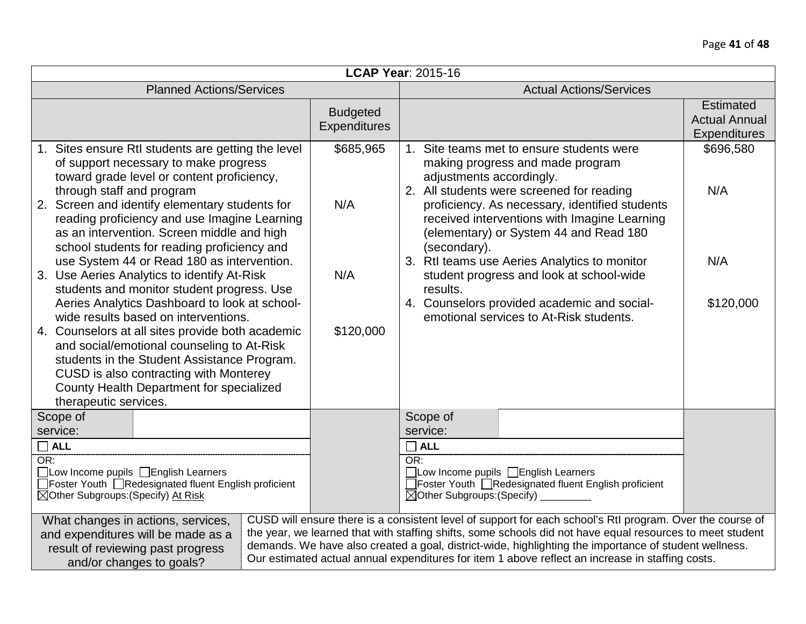|                                                                                                                                                                                                                                                                                                                                                       |  |                                        | <b>LCAP Year: 2015-16</b>                                                                                                                                                                                                                                                                                                                                                                                                           |                                                                 |
|-------------------------------------------------------------------------------------------------------------------------------------------------------------------------------------------------------------------------------------------------------------------------------------------------------------------------------------------------------|--|----------------------------------------|-------------------------------------------------------------------------------------------------------------------------------------------------------------------------------------------------------------------------------------------------------------------------------------------------------------------------------------------------------------------------------------------------------------------------------------|-----------------------------------------------------------------|
| <b>Planned Actions/Services</b>                                                                                                                                                                                                                                                                                                                       |  |                                        | <b>Actual Actions/Services</b>                                                                                                                                                                                                                                                                                                                                                                                                      |                                                                 |
|                                                                                                                                                                                                                                                                                                                                                       |  | <b>Budgeted</b><br><b>Expenditures</b> |                                                                                                                                                                                                                                                                                                                                                                                                                                     | <b>Estimated</b><br><b>Actual Annual</b><br><b>Expenditures</b> |
| 1. Sites ensure RtI students are getting the level<br>of support necessary to make progress<br>toward grade level or content proficiency,<br>through staff and program                                                                                                                                                                                |  | \$685,965<br>N/A                       | 1. Site teams met to ensure students were<br>making progress and made program<br>adjustments accordingly.<br>2. All students were screened for reading<br>proficiency. As necessary, identified students                                                                                                                                                                                                                            | \$696,580<br>N/A                                                |
| 2. Screen and identify elementary students for<br>reading proficiency and use Imagine Learning<br>as an intervention. Screen middle and high<br>school students for reading proficiency and                                                                                                                                                           |  |                                        | received interventions with Imagine Learning<br>(elementary) or System 44 and Read 180<br>(secondary).<br>3. Rtl teams use Aeries Analytics to monitor                                                                                                                                                                                                                                                                              | N/A                                                             |
| use System 44 or Read 180 as intervention.<br>3. Use Aeries Analytics to identify At-Risk<br>students and monitor student progress. Use                                                                                                                                                                                                               |  | N/A                                    | student progress and look at school-wide<br>results.                                                                                                                                                                                                                                                                                                                                                                                |                                                                 |
| Aeries Analytics Dashboard to look at school-<br>wide results based on interventions.<br>4. Counselors at all sites provide both academic<br>and social/emotional counseling to At-Risk<br>students in the Student Assistance Program.<br>CUSD is also contracting with Monterey<br>County Health Department for specialized<br>therapeutic services. |  | \$120,000                              | 4. Counselors provided academic and social-<br>emotional services to At-Risk students.                                                                                                                                                                                                                                                                                                                                              | \$120,000                                                       |
| Scope of<br>service:                                                                                                                                                                                                                                                                                                                                  |  |                                        | Scope of<br>service:                                                                                                                                                                                                                                                                                                                                                                                                                |                                                                 |
| $\Box$ ALL<br>OR:<br>Low Income pupils □ English Learners<br>JFoster Youth □Redesignated fluent English proficient<br>⊠Other Subgroups: (Specify) At Risk                                                                                                                                                                                             |  |                                        | $\Box$ ALL<br>OR:<br>1Low Income pupils □English Learners<br>Foster Youth <b>DRedesignated fluent English proficient</b><br>⊠Other Subgroups:(Specify)                                                                                                                                                                                                                                                                              |                                                                 |
| What changes in actions, services,<br>and expenditures will be made as a<br>result of reviewing past progress<br>and/or changes to goals?                                                                                                                                                                                                             |  |                                        | CUSD will ensure there is a consistent level of support for each school's Rtl program. Over the course of<br>the year, we learned that with staffing shifts, some schools did not have equal resources to meet student<br>demands. We have also created a goal, district-wide, highlighting the importance of student wellness.<br>Our estimated actual annual expenditures for item 1 above reflect an increase in staffing costs. |                                                                 |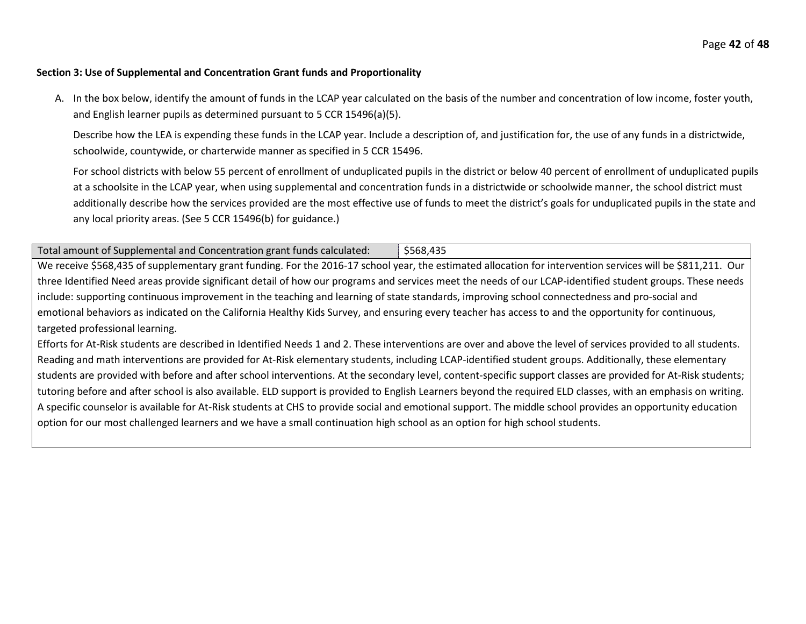#### Page **42** of **48**

#### **Section 3: Use of Supplemental and Concentration Grant funds and Proportionality**

A. In the box below, identify the amount of funds in the LCAP year calculated on the basis of the number and concentration of low income, foster youth, and English learner pupils as determined pursuant to 5 CCR 15496(a)(5).

Describe how the LEA is expending these funds in the LCAP year. Include a description of, and justification for, the use of any funds in a districtwide, schoolwide, countywide, or charterwide manner as specified in 5 CCR 15496.

For school districts with below 55 percent of enrollment of unduplicated pupils in the district or below 40 percent of enrollment of unduplicated pupils at a schoolsite in the LCAP year, when using supplemental and concentration funds in a districtwide or schoolwide manner, the school district must additionally describe how the services provided are the most effective use of funds to meet the district's goals for unduplicated pupils in the state and any local priority areas. (See 5 CCR 15496(b) for guidance.)

Total amount of Supplemental and Concentration grant funds calculated: \$568,435

We receive \$568,435 of supplementary grant funding. For the 2016-17 school year, the estimated allocation for intervention services will be \$811,211. Our three Identified Need areas provide significant detail of how our programs and services meet the needs of our LCAP-identified student groups. These needs include: supporting continuous improvement in the teaching and learning of state standards, improving school connectedness and pro-social and emotional behaviors as indicated on the California Healthy Kids Survey, and ensuring every teacher has access to and the opportunity for continuous, targeted professional learning.

Efforts for At-Risk students are described in Identified Needs 1 and 2. These interventions are over and above the level of services provided to all students. Reading and math interventions are provided for At-Risk elementary students, including LCAP-identified student groups. Additionally, these elementary students are provided with before and after school interventions. At the secondary level, content-specific support classes are provided for At-Risk students; tutoring before and after school is also available. ELD support is provided to English Learners beyond the required ELD classes, with an emphasis on writing. A specific counselor is available for At-Risk students at CHS to provide social and emotional support. The middle school provides an opportunity education option for our most challenged learners and we have a small continuation high school as an option for high school students.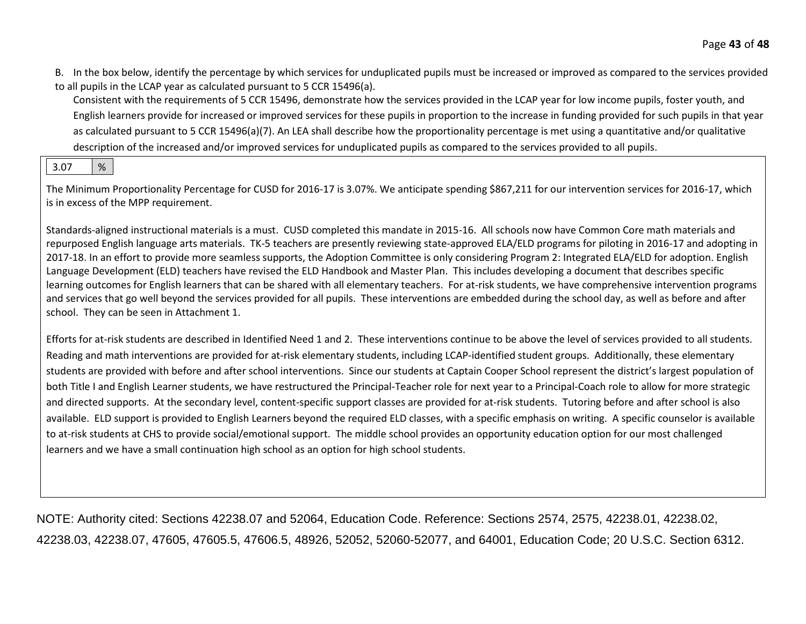Page **43** of **48**

B. In the box below, identify the percentage by which services for unduplicated pupils must be increased or improved as compared to the services provided to all pupils in the LCAP year as calculated pursuant to 5 CCR 15496(a).

Consistent with the requirements of 5 CCR 15496, demonstrate how the services provided in the LCAP year for low income pupils, foster youth, and English learners provide for increased or improved services for these pupils in proportion to the increase in funding provided for such pupils in that year as calculated pursuant to 5 CCR 15496(a)(7). An LEA shall describe how the proportionality percentage is met using a quantitative and/or qualitative description of the increased and/or improved services for unduplicated pupils as compared to the services provided to all pupils.

# $3.07$  | %

The Minimum Proportionality Percentage for CUSD for 2016-17 is 3.07%. We anticipate spending \$867,211 for our intervention services for 2016-17, which is in excess of the MPP requirement.

Standards-aligned instructional materials is a must. CUSD completed this mandate in 2015-16. All schools now have Common Core math materials and repurposed English language arts materials. TK-5 teachers are presently reviewing state-approved ELA/ELD programs for piloting in 2016-17 and adopting in 2017-18. In an effort to provide more seamless supports, the Adoption Committee is only considering Program 2: Integrated ELA/ELD for adoption. English Language Development (ELD) teachers have revised the ELD Handbook and Master Plan. This includes developing a document that describes specific learning outcomes for English learners that can be shared with all elementary teachers. For at-risk students, we have comprehensive intervention programs and services that go well beyond the services provided for all pupils. These interventions are embedded during the school day, as well as before and after school. They can be seen in Attachment 1.

Efforts for at-risk students are described in Identified Need 1 and 2. These interventions continue to be above the level of services provided to all students. Reading and math interventions are provided for at-risk elementary students, including LCAP-identified student groups. Additionally, these elementary students are provided with before and after school interventions. Since our students at Captain Cooper School represent the district's largest population of both Title I and English Learner students, we have restructured the Principal-Teacher role for next year to a Principal-Coach role to allow for more strategic and directed supports. At the secondary level, content-specific support classes are provided for at-risk students. Tutoring before and after school is also available. ELD support is provided to English Learners beyond the required ELD classes, with a specific emphasis on writing. A specific counselor is available to at-risk students at CHS to provide social/emotional support. The middle school provides an opportunity education option for our most challenged learners and we have a small continuation high school as an option for high school students.

NOTE: Authority cited: Sections 42238.07 and 52064, Education Code. Reference: Sections 2574, 2575, 42238.01, 42238.02, 42238.03, 42238.07, 47605, 47605.5, 47606.5, 48926, 52052, 52060-52077, and 64001, Education Code; 20 U.S.C. Section 6312.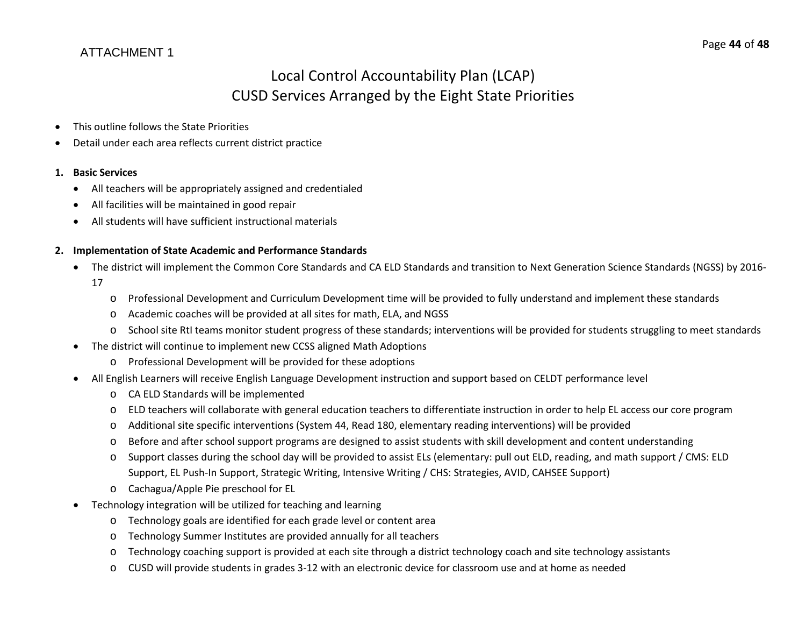# ATTACHMENT 1

# Local Control Accountability Plan (LCAP) CUSD Services Arranged by the Eight State Priorities

- This outline follows the State Priorities
- Detail under each area reflects current district practice

## **1. Basic Services**

- All teachers will be appropriately assigned and credentialed
- All facilities will be maintained in good repair
- All students will have sufficient instructional materials

## **2. Implementation of State Academic and Performance Standards**

- The district will implement the Common Core Standards and CA ELD Standards and transition to Next Generation Science Standards (NGSS) by 2016- 17
	- o Professional Development and Curriculum Development time will be provided to fully understand and implement these standards
	- o Academic coaches will be provided at all sites for math, ELA, and NGSS
	- o School site RtI teams monitor student progress of these standards; interventions will be provided for students struggling to meet standards
- The district will continue to implement new CCSS aligned Math Adoptions
	- o Professional Development will be provided for these adoptions
- All English Learners will receive English Language Development instruction and support based on CELDT performance level
	- o CA ELD Standards will be implemented
	- o ELD teachers will collaborate with general education teachers to differentiate instruction in order to help EL access our core program
	- o Additional site specific interventions (System 44, Read 180, elementary reading interventions) will be provided
	- o Before and after school support programs are designed to assist students with skill development and content understanding
	- o Support classes during the school day will be provided to assist ELs (elementary: pull out ELD, reading, and math support / CMS: ELD Support, EL Push-In Support, Strategic Writing, Intensive Writing / CHS: Strategies, AVID, CAHSEE Support)
	- o Cachagua/Apple Pie preschool for EL
- Technology integration will be utilized for teaching and learning
	- o Technology goals are identified for each grade level or content area
	- o Technology Summer Institutes are provided annually for all teachers
	- $\circ$  Technology coaching support is provided at each site through a district technology coach and site technology assistants
	- o CUSD will provide students in grades 3-12 with an electronic device for classroom use and at home as needed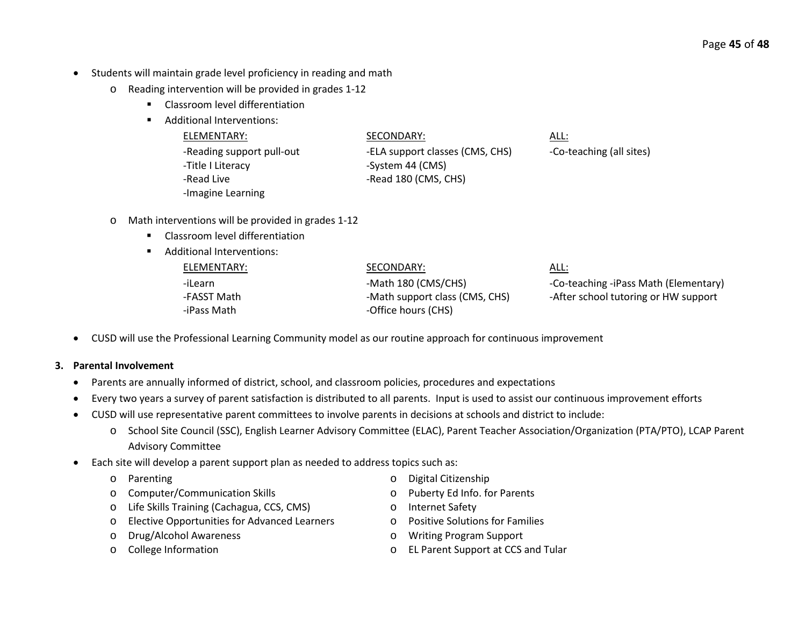- Students will maintain grade level proficiency in reading and math
	- o Reading intervention will be provided in grades 1-12
		- **EXEC** Classroom level differentiation
		- **Additional Interventions:**

#### ELEMENTARY: SECONDARY: ALL:

| -Reading support pull-out | -ELA support classes (CMS, CHS) | -Co-teaching (all sites) |
|---------------------------|---------------------------------|--------------------------|
| -Title I Literacy         | -System 44 (CMS)                |                          |
| -Read Live                | -Read 180 (CMS, CHS)            |                          |
| -Imagine Learning         |                                 |                          |

- o Math interventions will be provided in grades 1-12
	- **EXEC** Classroom level differentiation
	- **Additional Interventions:**

| ELEMENTARY:                           | SECONDARY:                                                                   | ALL:                                                                          |
|---------------------------------------|------------------------------------------------------------------------------|-------------------------------------------------------------------------------|
| -iLearn<br>-FASST Math<br>-iPass Math | -Math 180 (CMS/CHS)<br>-Math support class (CMS, CHS)<br>-Office hours (CHS) | -Co-teaching -iPass Math (Elementary)<br>-After school tutoring or HW support |

• CUSD will use the Professional Learning Community model as our routine approach for continuous improvement

### **3. Parental Involvement**

- Parents are annually informed of district, school, and classroom policies, procedures and expectations
- Every two years a survey of parent satisfaction is distributed to all parents. Input is used to assist our continuous improvement efforts
- CUSD will use representative parent committees to involve parents in decisions at schools and district to include:
	- o School Site Council (SSC), English Learner Advisory Committee (ELAC), Parent Teacher Association/Organization (PTA/PTO), LCAP Parent Advisory Committee
- Each site will develop a parent support plan as needed to address topics such as:
	-
	- o Computer/Communication Skills o Puberty Ed Info. for Parents
	- o Life Skills Training (Cachagua, CCS, CMS) o Internet Safety
	- o Elective Opportunities for Advanced Learners o Positive Solutions for Families
	- o Drug/Alcohol Awareness o Writing Program Support
	-
	- o Parenting o Digital Citizenship
		-
		-
		-
		-
	- o College Information o EL Parent Support at CCS and Tular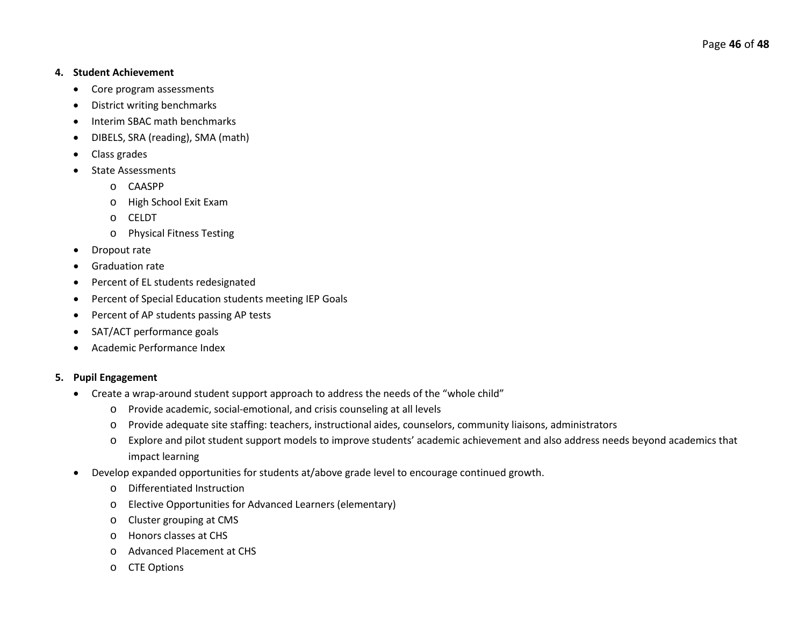#### **4. Student Achievement**

- Core program assessments
- District writing benchmarks
- Interim SBAC math benchmarks
- DIBELS, SRA (reading), SMA (math)
- Class grades
- State Assessments
	- o CAASPP
	- o High School Exit Exam
	- o CELDT
	- o Physical Fitness Testing
- Dropout rate
- Graduation rate
- Percent of EL students redesignated
- Percent of Special Education students meeting IEP Goals
- Percent of AP students passing AP tests
- SAT/ACT performance goals
- Academic Performance Index

## **5. Pupil Engagement**

- Create a wrap-around student support approach to address the needs of the "whole child"
	- o Provide academic, social-emotional, and crisis counseling at all levels
	- o Provide adequate site staffing: teachers, instructional aides, counselors, community liaisons, administrators
	- o Explore and pilot student support models to improve students' academic achievement and also address needs beyond academics that impact learning
- Develop expanded opportunities for students at/above grade level to encourage continued growth.
	- o Differentiated Instruction
	- o Elective Opportunities for Advanced Learners (elementary)
	- o Cluster grouping at CMS
	- o Honors classes at CHS
	- o Advanced Placement at CHS
	- o CTE Options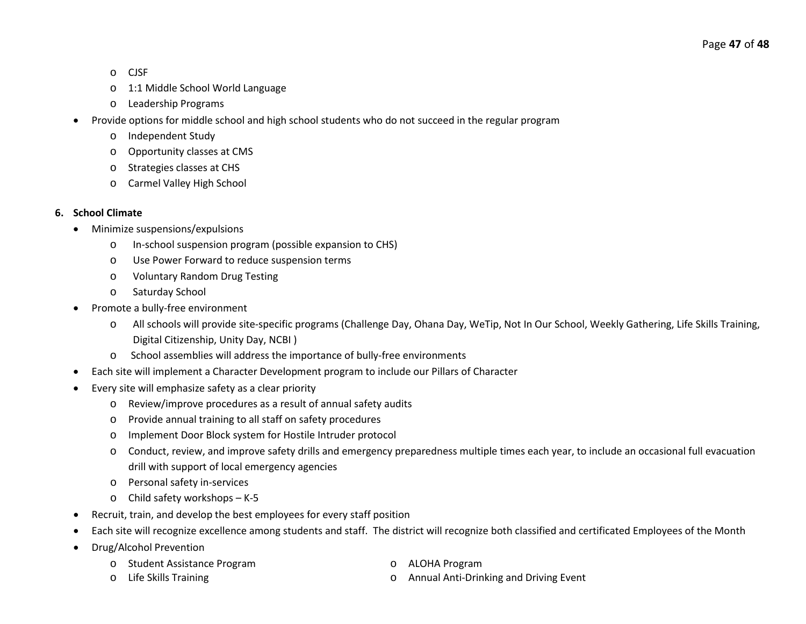- o CJSF
- o 1:1 Middle School World Language
- o Leadership Programs
- Provide options for middle school and high school students who do not succeed in the regular program
	- o Independent Study
	- o Opportunity classes at CMS
	- o Strategies classes at CHS
	- o Carmel Valley High School

## **6. School Climate**

- Minimize suspensions/expulsions
	- o In-school suspension program (possible expansion to CHS)
	- o Use Power Forward to reduce suspension terms
	- o Voluntary Random Drug Testing
	- o Saturday School
- Promote a bully-free environment
	- o All schools will provide site-specific programs (Challenge Day, Ohana Day, WeTip, Not In Our School, Weekly Gathering, Life Skills Training, Digital Citizenship, Unity Day, NCBI )
	- o School assemblies will address the importance of bully-free environments
- Each site will implement a Character Development program to include our Pillars of Character
- Every site will emphasize safety as a clear priority
	- o Review/improve procedures as a result of annual safety audits
	- o Provide annual training to all staff on safety procedures
	- o Implement Door Block system for Hostile Intruder protocol
	- o Conduct, review, and improve safety drills and emergency preparedness multiple times each year, to include an occasional full evacuation drill with support of local emergency agencies
	- o Personal safety in-services
	- o Child safety workshops K-5
- Recruit, train, and develop the best employees for every staff position
- Each site will recognize excellence among students and staff. The district will recognize both classified and certificated Employees of the Month
- Drug/Alcohol Prevention
	- o Student Assistance Program o ALOHA Program
		-

- 
- o Life Skills Training o Annual Anti-Drinking and Driving Event